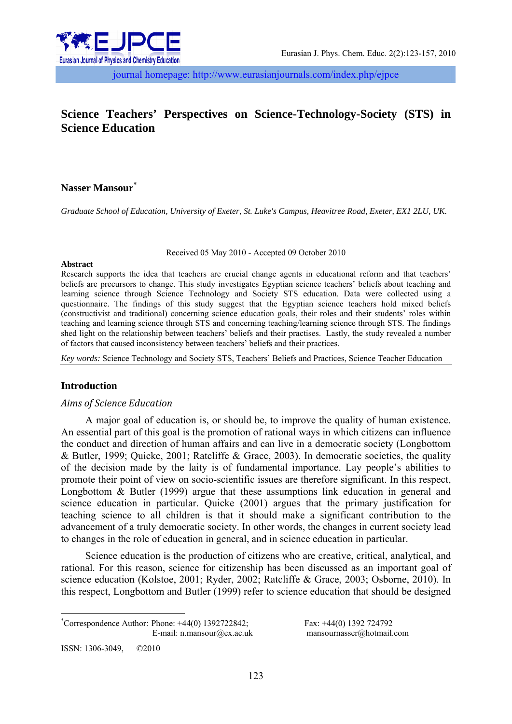

journal homepage: http://www.eurasianjournals.com/index.php/ejpce

# **Science Teachers' Perspectives on Science-Technology-Society (STS) in Science Education**

### **Nasser Mansour**\*

*Graduate School of Education, University of Exeter, St. Luke's Campus, Heavitree Road, Exeter, EX1 2LU, UK.*

Received 05 May 2010 - Accepted 09 October 2010

#### **Abstract**

Research supports the idea that teachers are crucial change agents in educational reform and that teachers' beliefs are precursors to change. This study investigates Egyptian science teachers' beliefs about teaching and learning science through Science Technology and Society STS education. Data were collected using a questionnaire. The findings of this study suggest that the Egyptian science teachers hold mixed beliefs (constructivist and traditional) concerning science education goals, their roles and their students' roles within teaching and learning science through STS and concerning teaching/learning science through STS. The findings shed light on the relationship between teachers' beliefs and their practises. Lastly, the study revealed a number of factors that caused inconsistency between teachers' beliefs and their practices.

*Key words:* Science Technology and Society STS, Teachers' Beliefs and Practices, Science Teacher Education

### **Introduction**

### *Aims of Science Education*

A major goal of education is, or should be, to improve the quality of human existence. An essential part of this goal is the promotion of rational ways in which citizens can influence the conduct and direction of human affairs and can live in a democratic society (Longbottom & Butler, 1999; Quicke, 2001; Ratcliffe & Grace, 2003). In democratic societies, the quality of the decision made by the laity is of fundamental importance. Lay people's abilities to promote their point of view on socio-scientific issues are therefore significant. In this respect, Longbottom & Butler (1999) argue that these assumptions link education in general and science education in particular. Quicke (2001) argues that the primary justification for teaching science to all children is that it should make a significant contribution to the advancement of a truly democratic society. In other words, the changes in current society lead to changes in the role of education in general, and in science education in particular.

Science education is the production of citizens who are creative, critical, analytical, and rational. For this reason, science for citizenship has been discussed as an important goal of science education (Kolstoe, 2001; Ryder, 2002; Ratcliffe & Grace, 2003; Osborne, 2010). In this respect, Longbottom and Butler (1999) refer to science education that should be designed

 $*$ Correspondence Author: Phone: +44(0) 1392722842; Fax: +44(0) 1392 724792

E-mail: n.mansour@ex.ac.uk mansournasser@hotmail.com

ISSN: 1306-3049, ©2010

<u>.</u>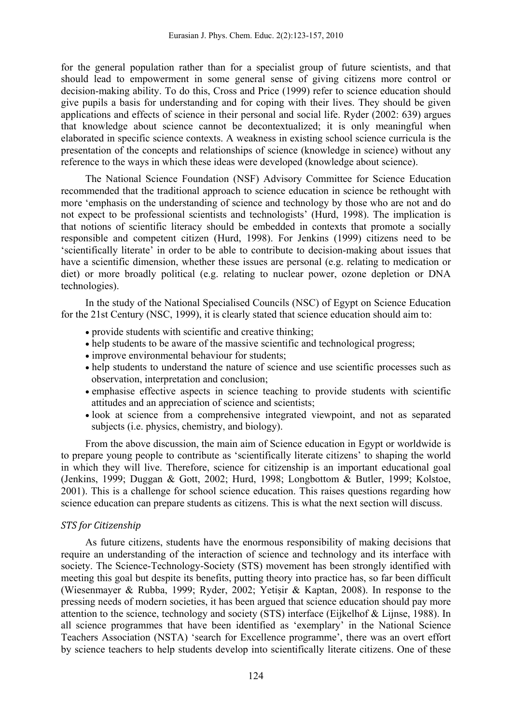for the general population rather than for a specialist group of future scientists, and that should lead to empowerment in some general sense of giving citizens more control or decision-making ability. To do this, Cross and Price (1999) refer to science education should give pupils a basis for understanding and for coping with their lives. They should be given applications and effects of science in their personal and social life. Ryder (2002: 639) argues that knowledge about science cannot be decontextualized; it is only meaningful when elaborated in specific science contexts. A weakness in existing school science curricula is the presentation of the concepts and relationships of science (knowledge in science) without any reference to the ways in which these ideas were developed (knowledge about science).

The National Science Foundation (NSF) Advisory Committee for Science Education recommended that the traditional approach to science education in science be rethought with more 'emphasis on the understanding of science and technology by those who are not and do not expect to be professional scientists and technologists' (Hurd, 1998). The implication is that notions of scientific literacy should be embedded in contexts that promote a socially responsible and competent citizen (Hurd, 1998). For Jenkins (1999) citizens need to be 'scientifically literate' in order to be able to contribute to decision-making about issues that have a scientific dimension, whether these issues are personal (e.g. relating to medication or diet) or more broadly political (e.g. relating to nuclear power, ozone depletion or DNA technologies).

In the study of the National Specialised Councils (NSC) of Egypt on Science Education for the 21st Century (NSC, 1999), it is clearly stated that science education should aim to:

- provide students with scientific and creative thinking;
- help students to be aware of the massive scientific and technological progress;
- improve environmental behaviour for students;
- help students to understand the nature of science and use scientific processes such as observation, interpretation and conclusion;
- emphasise effective aspects in science teaching to provide students with scientific attitudes and an appreciation of science and scientists;
- look at science from a comprehensive integrated viewpoint, and not as separated subjects (i.e. physics, chemistry, and biology).

From the above discussion, the main aim of Science education in Egypt or worldwide is to prepare young people to contribute as 'scientifically literate citizens' to shaping the world in which they will live. Therefore, science for citizenship is an important educational goal (Jenkins, 1999; Duggan & Gott, 2002; Hurd, 1998; Longbottom & Butler, 1999; Kolstoe, 2001). This is a challenge for school science education. This raises questions regarding how science education can prepare students as citizens. This is what the next section will discuss.

### *STS for Citizenship*

As future citizens, students have the enormous responsibility of making decisions that require an understanding of the interaction of science and technology and its interface with society. The Science-Technology-Society (STS) movement has been strongly identified with meeting this goal but despite its benefits, putting theory into practice has, so far been difficult (Wiesenmayer & Rubba, 1999; Ryder, 2002; Yetişir & Kaptan, 2008). In response to the pressing needs of modern societies, it has been argued that science education should pay more attention to the science, technology and society (STS) interface (Eijkelhof & Lijnse, 1988). In all science programmes that have been identified as 'exemplary' in the National Science Teachers Association (NSTA) 'search for Excellence programme', there was an overt effort by science teachers to help students develop into scientifically literate citizens. One of these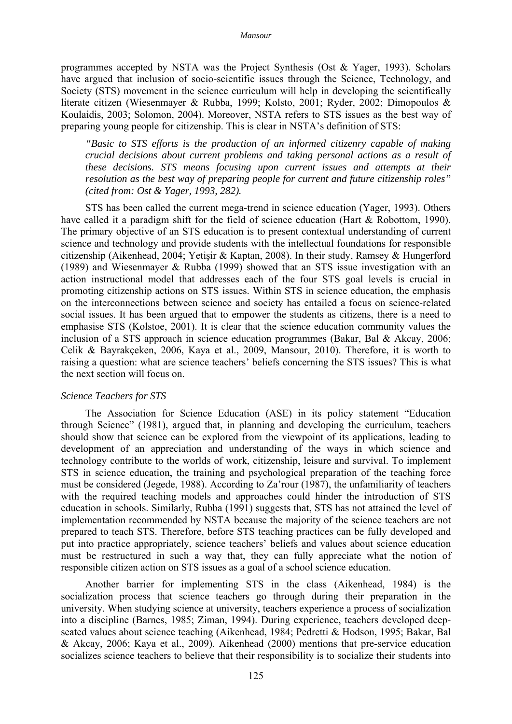programmes accepted by NSTA was the Project Synthesis (Ost & Yager, 1993). Scholars have argued that inclusion of socio-scientific issues through the Science, Technology, and Society (STS) movement in the science curriculum will help in developing the scientifically literate citizen (Wiesenmayer & Rubba, 1999; Kolsto, 2001; Ryder, 2002; Dimopoulos & Koulaidis, 2003; Solomon, 2004). Moreover, NSTA refers to STS issues as the best way of preparing young people for citizenship. This is clear in NSTA's definition of STS:

*"Basic to STS efforts is the production of an informed citizenry capable of making crucial decisions about current problems and taking personal actions as a result of these decisions. STS means focusing upon current issues and attempts at their resolution as the best way of preparing people for current and future citizenship roles" (cited from: Ost & Yager, 1993, 282).* 

STS has been called the current mega-trend in science education (Yager, 1993). Others have called it a paradigm shift for the field of science education (Hart & Robottom, 1990). The primary objective of an STS education is to present contextual understanding of current science and technology and provide students with the intellectual foundations for responsible citizenship (Aikenhead, 2004; Yetişir & Kaptan, 2008). In their study, Ramsey & Hungerford (1989) and Wiesenmayer & Rubba (1999) showed that an STS issue investigation with an action instructional model that addresses each of the four STS goal levels is crucial in promoting citizenship actions on STS issues. Within STS in science education, the emphasis on the interconnections between science and society has entailed a focus on science-related social issues. It has been argued that to empower the students as citizens, there is a need to emphasise STS (Kolstoe, 2001). It is clear that the science education community values the inclusion of a STS approach in science education programmes (Bakar, Bal & Akcay, 2006; Celik & Bayrakçeken, 2006, Kaya et al., 2009, Mansour, 2010). Therefore, it is worth to raising a question: what are science teachers' beliefs concerning the STS issues? This is what the next section will focus on.

#### *Science Teachers for STS*

The Association for Science Education (ASE) in its policy statement "Education through Science" (1981), argued that, in planning and developing the curriculum, teachers should show that science can be explored from the viewpoint of its applications, leading to development of an appreciation and understanding of the ways in which science and technology contribute to the worlds of work, citizenship, leisure and survival. To implement STS in science education, the training and psychological preparation of the teaching force must be considered (Jegede, 1988). According to Za'rour (1987), the unfamiliarity of teachers with the required teaching models and approaches could hinder the introduction of STS education in schools. Similarly, Rubba (1991) suggests that, STS has not attained the level of implementation recommended by NSTA because the majority of the science teachers are not prepared to teach STS. Therefore, before STS teaching practices can be fully developed and put into practice appropriately, science teachers' beliefs and values about science education must be restructured in such a way that, they can fully appreciate what the notion of responsible citizen action on STS issues as a goal of a school science education.

Another barrier for implementing STS in the class (Aikenhead, 1984) is the socialization process that science teachers go through during their preparation in the university. When studying science at university, teachers experience a process of socialization into a discipline (Barnes, 1985; Ziman, 1994). During experience, teachers developed deepseated values about science teaching (Aikenhead, 1984; Pedretti & Hodson, 1995; Bakar, Bal & Akcay, 2006; Kaya et al., 2009). Aikenhead (2000) mentions that pre-service education socializes science teachers to believe that their responsibility is to socialize their students into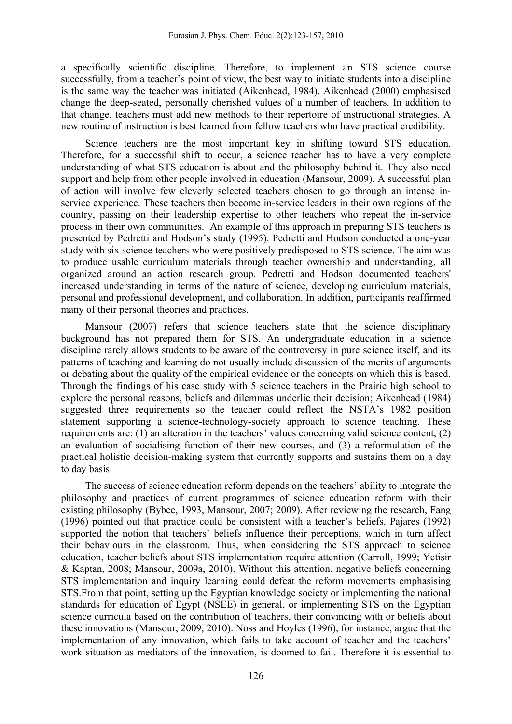a specifically scientific discipline. Therefore, to implement an STS science course successfully, from a teacher's point of view, the best way to initiate students into a discipline is the same way the teacher was initiated (Aikenhead, 1984). Aikenhead (2000) emphasised change the deep-seated, personally cherished values of a number of teachers. In addition to that change, teachers must add new methods to their repertoire of instructional strategies. A new routine of instruction is best learned from fellow teachers who have practical credibility.

Science teachers are the most important key in shifting toward STS education. Therefore, for a successful shift to occur, a science teacher has to have a very complete understanding of what STS education is about and the philosophy behind it. They also need support and help from other people involved in education (Mansour, 2009). A successful plan of action will involve few cleverly selected teachers chosen to go through an intense inservice experience. These teachers then become in-service leaders in their own regions of the country, passing on their leadership expertise to other teachers who repeat the in-service process in their own communities. An example of this approach in preparing STS teachers is presented by Pedretti and Hodson's study (1995). Pedretti and Hodson conducted a one-year study with six science teachers who were positively predisposed to STS science. The aim was to produce usable curriculum materials through teacher ownership and understanding, all organized around an action research group. Pedretti and Hodson documented teachers' increased understanding in terms of the nature of science, developing curriculum materials, personal and professional development, and collaboration. In addition, participants reaffirmed many of their personal theories and practices.

Mansour (2007) refers that science teachers state that the science disciplinary background has not prepared them for STS. An undergraduate education in a science discipline rarely allows students to be aware of the controversy in pure science itself, and its patterns of teaching and learning do not usually include discussion of the merits of arguments or debating about the quality of the empirical evidence or the concepts on which this is based. Through the findings of his case study with 5 science teachers in the Prairie high school to explore the personal reasons, beliefs and dilemmas underlie their decision; Aikenhead (1984) suggested three requirements so the teacher could reflect the NSTA's 1982 position statement supporting a science-technology-society approach to science teaching. These requirements are: (1) an alteration in the teachers' values concerning valid science content, (2) an evaluation of socialising function of their new courses, and (3) a reformulation of the practical holistic decision-making system that currently supports and sustains them on a day to day basis.

The success of science education reform depends on the teachers' ability to integrate the philosophy and practices of current programmes of science education reform with their existing philosophy (Bybee, 1993, Mansour, 2007; 2009). After reviewing the research, Fang (1996) pointed out that practice could be consistent with a teacher's beliefs. Pajares (1992) supported the notion that teachers' beliefs influence their perceptions, which in turn affect their behaviours in the classroom. Thus, when considering the STS approach to science education, teacher beliefs about STS implementation require attention (Carroll, 1999; Yetişir & Kaptan, 2008; Mansour, 2009a, 2010). Without this attention, negative beliefs concerning STS implementation and inquiry learning could defeat the reform movements emphasising STS.From that point, setting up the Egyptian knowledge society or implementing the national standards for education of Egypt (NSEE) in general, or implementing STS on the Egyptian science curricula based on the contribution of teachers, their convincing with or beliefs about these innovations (Mansour, 2009, 2010). Noss and Hoyles (1996), for instance, argue that the implementation of any innovation, which fails to take account of teacher and the teachers' work situation as mediators of the innovation, is doomed to fail. Therefore it is essential to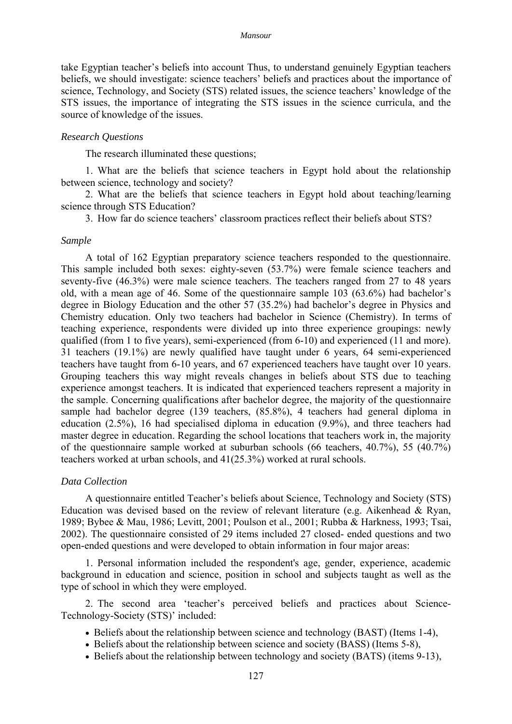take Egyptian teacher's beliefs into account Thus, to understand genuinely Egyptian teachers beliefs, we should investigate: science teachers' beliefs and practices about the importance of science, Technology, and Society (STS) related issues, the science teachers' knowledge of the STS issues, the importance of integrating the STS issues in the science curricula, and the source of knowledge of the issues.

### *Research Questions*

The research illuminated these questions;

1. What are the beliefs that science teachers in Egypt hold about the relationship between science, technology and society?

2. What are the beliefs that science teachers in Egypt hold about teaching/learning science through STS Education?

3. How far do science teachers' classroom practices reflect their beliefs about STS?

### *Sample*

A total of 162 Egyptian preparatory science teachers responded to the questionnaire. This sample included both sexes: eighty-seven (53.7%) were female science teachers and seventy-five (46.3%) were male science teachers. The teachers ranged from 27 to 48 years old, with a mean age of 46. Some of the questionnaire sample 103 (63.6%) had bachelor's degree in Biology Education and the other 57 (35.2%) had bachelor's degree in Physics and Chemistry education. Only two teachers had bachelor in Science (Chemistry). In terms of teaching experience, respondents were divided up into three experience groupings: newly qualified (from 1 to five years), semi-experienced (from 6-10) and experienced (11 and more). 31 teachers (19.1%) are newly qualified have taught under 6 years, 64 semi-experienced teachers have taught from 6-10 years, and 67 experienced teachers have taught over 10 years. Grouping teachers this way might reveals changes in beliefs about STS due to teaching experience amongst teachers. It is indicated that experienced teachers represent a majority in the sample. Concerning qualifications after bachelor degree, the majority of the questionnaire sample had bachelor degree (139 teachers, (85.8%), 4 teachers had general diploma in education (2.5%), 16 had specialised diploma in education (9.9%), and three teachers had master degree in education. Regarding the school locations that teachers work in, the majority of the questionnaire sample worked at suburban schools (66 teachers, 40.7%), 55 (40.7%) teachers worked at urban schools, and 41(25.3%) worked at rural schools.

### *Data Collection*

A questionnaire entitled Teacher's beliefs about Science, Technology and Society (STS) Education was devised based on the review of relevant literature (e.g. Aikenhead & Ryan, 1989; Bybee & Mau, 1986; Levitt, 2001; Poulson et al., 2001; Rubba & Harkness, 1993; Tsai, 2002). The questionnaire consisted of 29 items included 27 closed- ended questions and two open-ended questions and were developed to obtain information in four major areas:

1. Personal information included the respondent's age, gender, experience, academic background in education and science, position in school and subjects taught as well as the type of school in which they were employed.

2. The second area 'teacher's perceived beliefs and practices about Science-Technology-Society (STS)' included:

- Beliefs about the relationship between science and technology (BAST) (Items 1-4),
- Beliefs about the relationship between science and society (BASS) (Items 5-8),
- Beliefs about the relationship between technology and society (BATS) (items 9-13),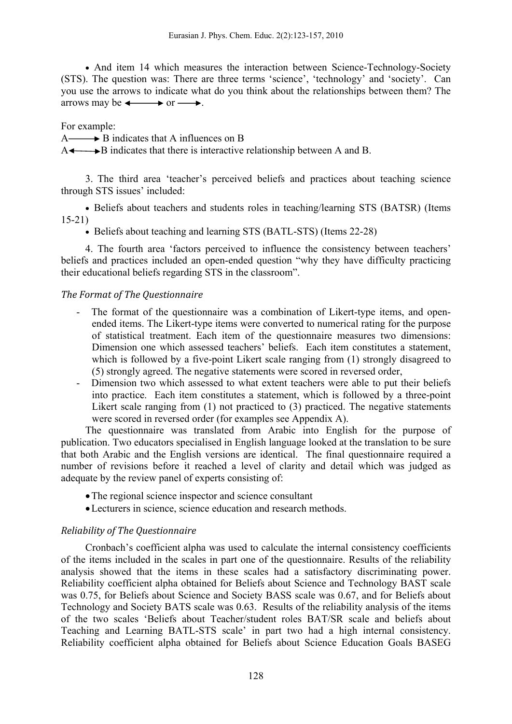• And item 14 which measures the interaction between Science-Technology-Society (STS). The question was: There are three terms 'science', 'technology' and 'society'. Can you use the arrows to indicate what do you think about the relationships between them? The arrows may be  $\longleftrightarrow$  or  $\longrightarrow$ .

For example:

 $A \longrightarrow B$  indicates that A influences on B

 $A \leftarrow B$  indicates that there is interactive relationship between A and B.

3. The third area 'teacher's perceived beliefs and practices about teaching science through STS issues' included:

• Beliefs about teachers and students roles in teaching/learning STS (BATSR) (Items 15-21)

• Beliefs about teaching and learning STS (BATL-STS) (Items 22-28)

4. The fourth area 'factors perceived to influence the consistency between teachers' beliefs and practices included an open-ended question "why they have difficulty practicing their educational beliefs regarding STS in the classroom".

## *The Format of The Questionnaire*

- The format of the questionnaire was a combination of Likert-type items, and openended items. The Likert-type items were converted to numerical rating for the purpose of statistical treatment. Each item of the questionnaire measures two dimensions: Dimension one which assessed teachers' beliefs. Each item constitutes a statement, which is followed by a five-point Likert scale ranging from  $(1)$  strongly disagreed to (5) strongly agreed. The negative statements were scored in reversed order,
- Dimension two which assessed to what extent teachers were able to put their beliefs into practice. Each item constitutes a statement, which is followed by a three-point Likert scale ranging from (1) not practiced to (3) practiced. The negative statements were scored in reversed order (for examples see Appendix A).

The questionnaire was translated from Arabic into English for the purpose of publication. Two educators specialised in English language looked at the translation to be sure that both Arabic and the English versions are identical. The final questionnaire required a number of revisions before it reached a level of clarity and detail which was judged as adequate by the review panel of experts consisting of:

- The regional science inspector and science consultant
- •Lecturers in science, science education and research methods.

## *Reliability of The Questionnaire*

Cronbach's coefficient alpha was used to calculate the internal consistency coefficients of the items included in the scales in part one of the questionnaire. Results of the reliability analysis showed that the items in these scales had a satisfactory discriminating power. Reliability coefficient alpha obtained for Beliefs about Science and Technology BAST scale was 0.75, for Beliefs about Science and Society BASS scale was 0.67, and for Beliefs about Technology and Society BATS scale was 0.63. Results of the reliability analysis of the items of the two scales 'Beliefs about Teacher/student roles BAT/SR scale and beliefs about Teaching and Learning BATL-STS scale' in part two had a high internal consistency. Reliability coefficient alpha obtained for Beliefs about Science Education Goals BASEG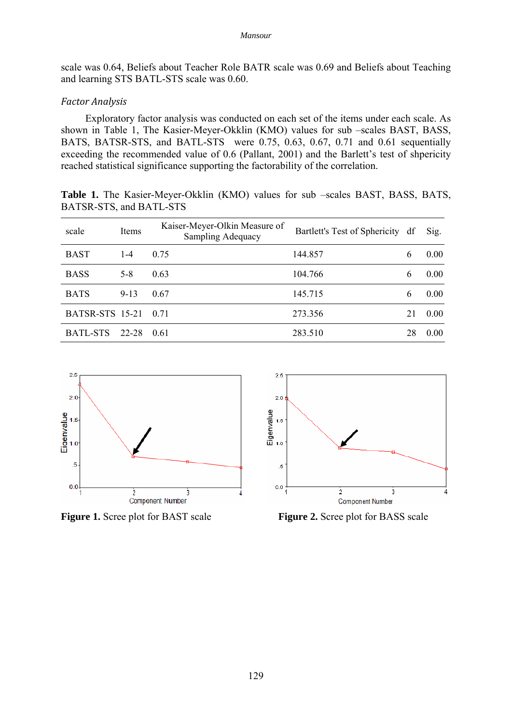scale was 0.64, Beliefs about Teacher Role BATR scale was 0.69 and Beliefs about Teaching and learning STS BATL-STS scale was 0.60.

### *Factor Analysis*

Exploratory factor analysis was conducted on each set of the items under each scale. As shown in Table 1, The Kasier-Meyer-Okklin (KMO) values for sub –scales BAST, BASS, BATS, BATSR-STS, and BATL-STS were 0.75, 0.63, 0.67, 0.71 and 0.61 sequentially exceeding the recommended value of 0.6 (Pallant, 2001) and the Barlett's test of shpericity reached statistical significance supporting the factorability of the correlation.

**Table 1.** The Kasier-Meyer-Okklin (KMO) values for sub –scales BAST, BASS, BATS, BATSR-STS, and BATL-STS

| scale                | Items    | Kaiser-Meyer-Olkin Measure of<br><b>Sampling Adequacy</b> | Bartlett's Test of Sphericity df |    | Sig. |
|----------------------|----------|-----------------------------------------------------------|----------------------------------|----|------|
| <b>BAST</b>          | $1 - 4$  | 0.75                                                      | 144.857                          | 6  | 0.00 |
| <b>BASS</b>          | $5 - 8$  | 0.63                                                      | 104.766                          | 6  | 0.00 |
| <b>BATS</b>          | $9 - 13$ | 0.67                                                      | 145.715                          | 6  | 0.00 |
| BATSR-STS 15-21 0.71 |          |                                                           | 273.356                          | 21 | 0.00 |
| <b>BATL-STS</b>      | 22-28    | 0.61                                                      | 283.510                          | 28 | 0.00 |



**Figure 1.** Scree plot for BAST scale **Figure 2.** Scree plot for BASS scale

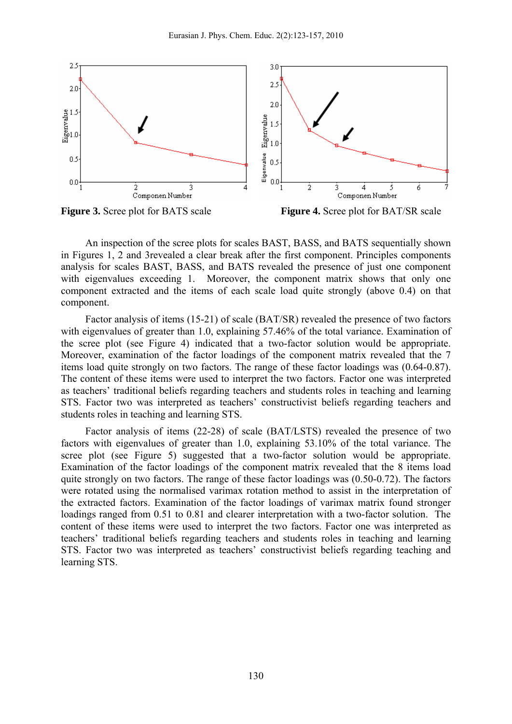



An inspection of the scree plots for scales BAST, BASS, and BATS sequentially shown in Figures 1, 2 and 3revealed a clear break after the first component. Principles components analysis for scales BAST, BASS, and BATS revealed the presence of just one component with eigenvalues exceeding 1. Moreover, the component matrix shows that only one component extracted and the items of each scale load quite strongly (above 0.4) on that component.

Factor analysis of items (15-21) of scale (BAT/SR) revealed the presence of two factors with eigenvalues of greater than 1.0, explaining 57.46% of the total variance. Examination of the scree plot (see Figure 4) indicated that a two-factor solution would be appropriate. Moreover, examination of the factor loadings of the component matrix revealed that the 7 items load quite strongly on two factors. The range of these factor loadings was (0.64-0.87). The content of these items were used to interpret the two factors. Factor one was interpreted as teachers' traditional beliefs regarding teachers and students roles in teaching and learning STS. Factor two was interpreted as teachers' constructivist beliefs regarding teachers and students roles in teaching and learning STS.

Factor analysis of items (22-28) of scale (BAT/LSTS) revealed the presence of two factors with eigenvalues of greater than 1.0, explaining 53.10% of the total variance. The scree plot (see Figure 5) suggested that a two-factor solution would be appropriate. Examination of the factor loadings of the component matrix revealed that the 8 items load quite strongly on two factors. The range of these factor loadings was (0.50-0.72). The factors were rotated using the normalised varimax rotation method to assist in the interpretation of the extracted factors. Examination of the factor loadings of varimax matrix found stronger loadings ranged from 0.51 to 0.81 and clearer interpretation with a two-factor solution. The content of these items were used to interpret the two factors. Factor one was interpreted as teachers' traditional beliefs regarding teachers and students roles in teaching and learning STS. Factor two was interpreted as teachers' constructivist beliefs regarding teaching and learning STS.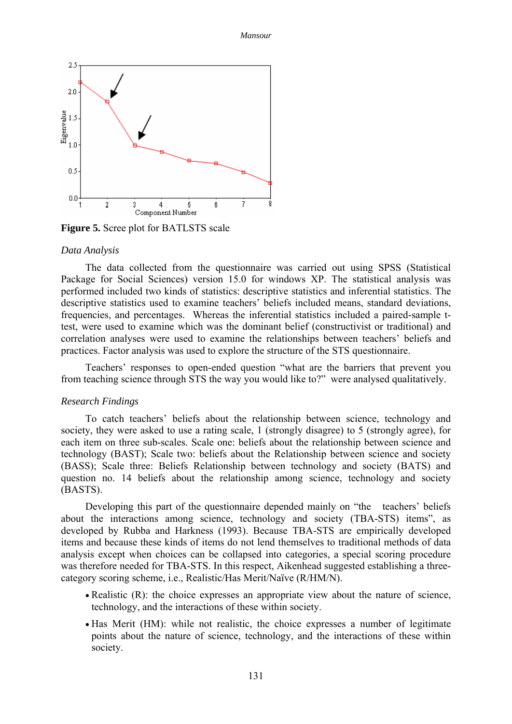

**Figure 5.** Scree plot for BATLSTS scale

#### *Data Analysis*

The data collected from the questionnaire was carried out using SPSS (Statistical Package for Social Sciences) version 15.0 for windows XP. The statistical analysis was performed included two kinds of statistics: descriptive statistics and inferential statistics. The descriptive statistics used to examine teachers' beliefs included means, standard deviations, frequencies, and percentages. Whereas the inferential statistics included a paired-sample ttest, were used to examine which was the dominant belief (constructivist or traditional) and correlation analyses were used to examine the relationships between teachers' beliefs and practices. Factor analysis was used to explore the structure of the STS questionnaire.

Teachers' responses to open-ended question "what are the barriers that prevent you from teaching science through STS the way you would like to?" were analysed qualitatively.

#### *Research Findings*

To catch teachers' beliefs about the relationship between science, technology and society, they were asked to use a rating scale, 1 (strongly disagree) to 5 (strongly agree), for each item on three sub-scales. Scale one: beliefs about the relationship between science and technology (BAST); Scale two: beliefs about the Relationship between science and society (BASS); Scale three: Beliefs Relationship between technology and society (BATS) and question no. 14 beliefs about the relationship among science, technology and society (BASTS).

Developing this part of the questionnaire depended mainly on "the teachers' beliefs about the interactions among science, technology and society (TBA-STS) items", as developed by Rubba and Harkness (1993). Because TBA-STS are empirically developed items and because these kinds of items do not lend themselves to traditional methods of data analysis except when choices can be collapsed into categories, a special scoring procedure was therefore needed for TBA-STS. In this respect, Aikenhead suggested establishing a threecategory scoring scheme, i.e., Realistic/Has Merit/Naïve (R/HM/N).

- Realistic (R): the choice expresses an appropriate view about the nature of science, technology, and the interactions of these within society.
- Has Merit (HM): while not realistic, the choice expresses a number of legitimate points about the nature of science, technology, and the interactions of these within society.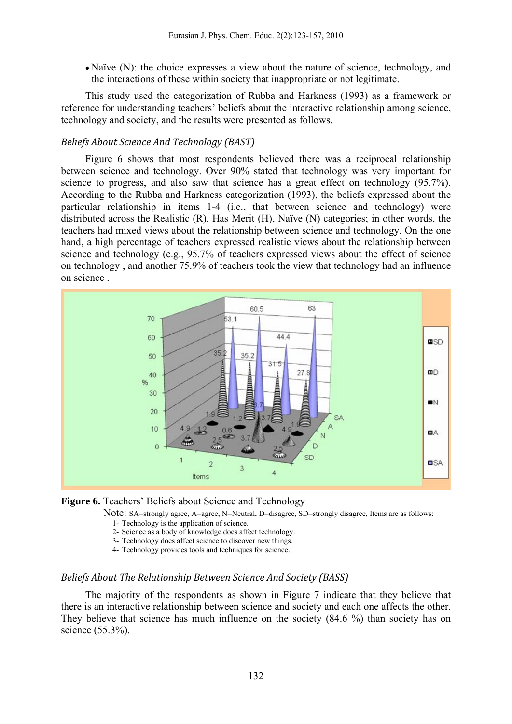• Naïve (N): the choice expresses a view about the nature of science, technology, and the interactions of these within society that inappropriate or not legitimate.

This study used the categorization of Rubba and Harkness (1993) as a framework or reference for understanding teachers' beliefs about the interactive relationship among science, technology and society, and the results were presented as follows.

### *Beliefs About Science And Technology (BAST)*

Figure 6 shows that most respondents believed there was a reciprocal relationship between science and technology. Over 90% stated that technology was very important for science to progress, and also saw that science has a great effect on technology (95.7%). According to the Rubba and Harkness categorization (1993), the beliefs expressed about the particular relationship in items 1-4 (i.e., that between science and technology) were distributed across the Realistic (R), Has Merit (H), Naïve (N) categories; in other words, the teachers had mixed views about the relationship between science and technology. On the one hand, a high percentage of teachers expressed realistic views about the relationship between science and technology (e.g., 95.7% of teachers expressed views about the effect of science on technology , and another 75.9% of teachers took the view that technology had an influence on science .





Note: SA=strongly agree, A=agree, N=Neutral, D=disagree, SD=strongly disagree, Items are as follows:

- 1- Technology is the application of science.
- 2- Science as a body of knowledge does affect technology.
- 3- Technology does affect science to discover new things.
- 4- Technology provides tools and techniques for science.

#### *Beliefs About The Relationship Between Science And Society (BASS)*

The majority of the respondents as shown in Figure 7 indicate that they believe that there is an interactive relationship between science and society and each one affects the other. They believe that science has much influence on the society (84.6 %) than society has on science (55.3%).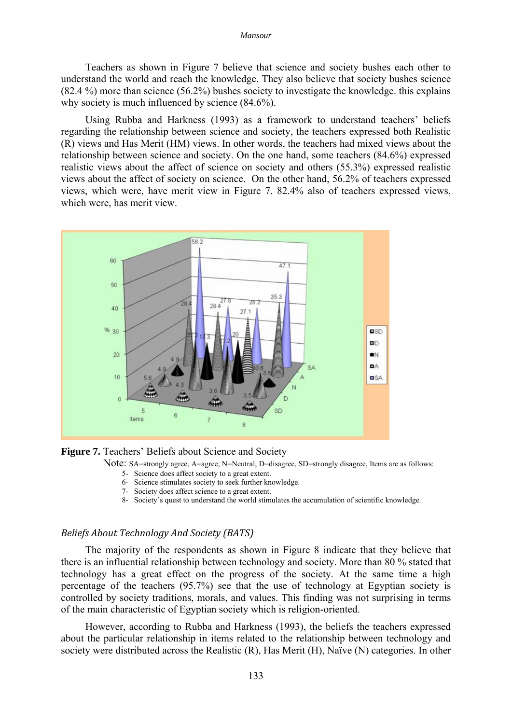Teachers as shown in Figure 7 believe that science and society bushes each other to understand the world and reach the knowledge. They also believe that society bushes science (82.4 %) more than science (56.2%) bushes society to investigate the knowledge. this explains why society is much influenced by science  $(84.6\%)$ .

Using Rubba and Harkness (1993) as a framework to understand teachers' beliefs regarding the relationship between science and society, the teachers expressed both Realistic (R) views and Has Merit (HM) views. In other words, the teachers had mixed views about the relationship between science and society. On the one hand, some teachers (84.6%) expressed realistic views about the affect of science on society and others (55.3%) expressed realistic views about the affect of society on science. On the other hand, 56.2% of teachers expressed views, which were, have merit view in Figure 7. 82.4% also of teachers expressed views, which were, has merit view.



**Figure 7.** Teachers' Beliefs about Science and Society

- Note: SA=strongly agree, A=agree, N=Neutral, D=disagree, SD=strongly disagree, Items are as follows:
	- 5- Science does affect society to a great extent.
	- 6- Science stimulates society to seek further knowledge.
	- 7- Society does affect science to a great extent.
	- 8- Society's quest to understand the world stimulates the accumulation of scientific knowledge.

### *Beliefs About Technology And Society (BATS)*

The majority of the respondents as shown in Figure 8 indicate that they believe that there is an influential relationship between technology and society. More than 80 % stated that technology has a great effect on the progress of the society. At the same time a high percentage of the teachers (95.7%) see that the use of technology at Egyptian society is controlled by society traditions, morals, and values. This finding was not surprising in terms of the main characteristic of Egyptian society which is religion-oriented.

However, according to Rubba and Harkness (1993), the beliefs the teachers expressed about the particular relationship in items related to the relationship between technology and society were distributed across the Realistic (R), Has Merit (H), Naïve (N) categories. In other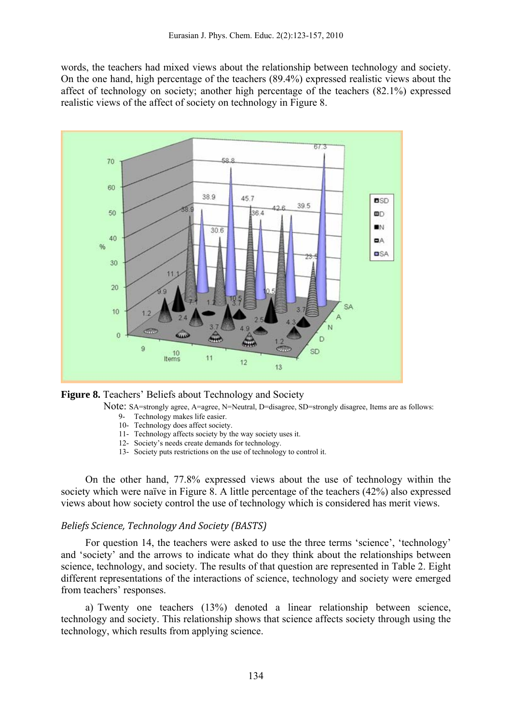words, the teachers had mixed views about the relationship between technology and society. On the one hand, high percentage of the teachers (89.4%) expressed realistic views about the affect of technology on society; another high percentage of the teachers (82.1%) expressed realistic views of the affect of society on technology in Figure 8.





- Note: SA=strongly agree, A=agree, N=Neutral, D=disagree, SD=strongly disagree, Items are as follows:
	- 9- Technology makes life easier.
	- 10- Technology does affect society.
	- 11- Technology affects society by the way society uses it.
	- 12- Society's needs create demands for technology.
	- 13- Society puts restrictions on the use of technology to control it.

On the other hand, 77.8% expressed views about the use of technology within the society which were naïve in Figure 8. A little percentage of the teachers (42%) also expressed views about how society control the use of technology which is considered has merit views.

#### *Beliefs Science, Technology And Society (BASTS)*

For question 14, the teachers were asked to use the three terms 'science', 'technology' and 'society' and the arrows to indicate what do they think about the relationships between science, technology, and society. The results of that question are represented in Table 2. Eight different representations of the interactions of science, technology and society were emerged from teachers' responses.

a) Twenty one teachers (13%) denoted a linear relationship between science, technology and society. This relationship shows that science affects society through using the technology, which results from applying science.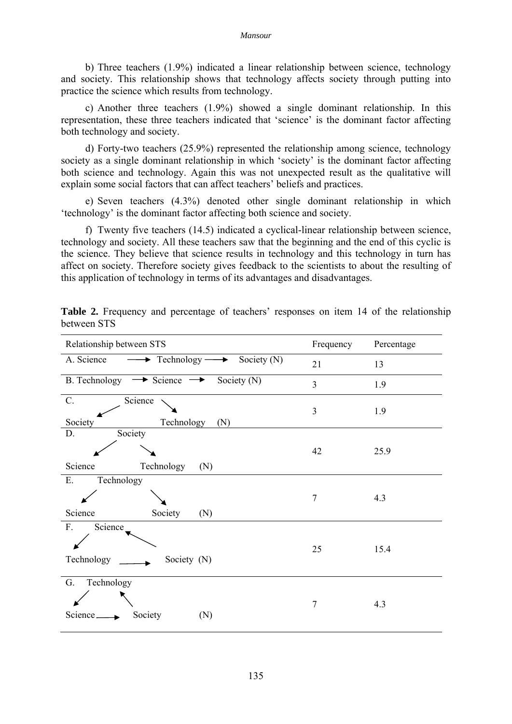b) Three teachers (1.9%) indicated a linear relationship between science, technology and society. This relationship shows that technology affects society through putting into practice the science which results from technology.

c) Another three teachers (1.9%) showed a single dominant relationship. In this representation, these three teachers indicated that 'science' is the dominant factor affecting both technology and society.

d) Forty-two teachers (25.9%) represented the relationship among science, technology society as a single dominant relationship in which 'society' is the dominant factor affecting both science and technology. Again this was not unexpected result as the qualitative will explain some social factors that can affect teachers' beliefs and practices.

e) Seven teachers (4.3%) denoted other single dominant relationship in which 'technology' is the dominant factor affecting both science and society.

f) Twenty five teachers (14.5) indicated a cyclical-linear relationship between science, technology and society. All these teachers saw that the beginning and the end of this cyclic is the science. They believe that science results in technology and this technology in turn has affect on society. Therefore society gives feedback to the scientists to about the resulting of this application of technology in terms of its advantages and disadvantages.

| Relationship between STS                                                   | Frequency | Percentage |
|----------------------------------------------------------------------------|-----------|------------|
| $\longrightarrow$ Technology $\longrightarrow$ Society (N)<br>A. Science   | 21        | 13         |
| $\rightarrow$ Science $\rightarrow$<br><b>B.</b> Technology<br>Society (N) | 3         | 1.9        |
| $C$ .<br>Science<br>Technology<br>Society<br>(N)                           | 3         | 1.9        |
| Society<br>D.<br>Science<br>Technology<br>(N)                              | 42        | 25.9       |
| ${\bf E}.$<br>Technology<br>Science<br>Society<br>(N)                      | $\tau$    | 4.3        |
| F.<br>Science<br>Technology<br>Society (N)                                 | 25        | 15.4       |
| G.<br>Technology<br>Society<br>Science_<br>(N)                             | $\tau$    | 4.3        |

Table 2. Frequency and percentage of teachers' responses on item 14 of the relationship between STS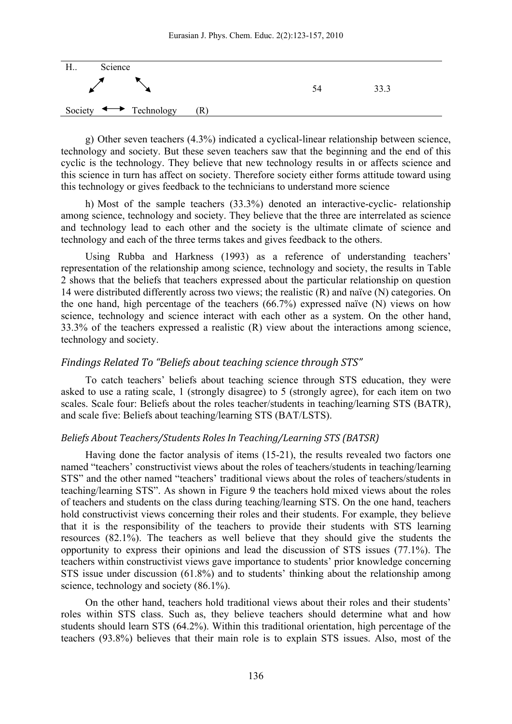

g) Other seven teachers (4.3%) indicated a cyclical-linear relationship between science, technology and society. But these seven teachers saw that the beginning and the end of this cyclic is the technology. They believe that new technology results in or affects science and this science in turn has affect on society. Therefore society either forms attitude toward using this technology or gives feedback to the technicians to understand more science

h) Most of the sample teachers (33.3%) denoted an interactive-cyclic- relationship among science, technology and society. They believe that the three are interrelated as science and technology lead to each other and the society is the ultimate climate of science and technology and each of the three terms takes and gives feedback to the others.

Using Rubba and Harkness (1993) as a reference of understanding teachers' representation of the relationship among science, technology and society, the results in Table 2 shows that the beliefs that teachers expressed about the particular relationship on question 14 were distributed differently across two views; the realistic (R) and naïve (N) categories. On the one hand, high percentage of the teachers (66.7%) expressed naïve (N) views on how science, technology and science interact with each other as a system. On the other hand, 33.3% of the teachers expressed a realistic (R) view about the interactions among science, technology and society.

### *Findings Related To "Beliefs about teaching science through STS"*

To catch teachers' beliefs about teaching science through STS education, they were asked to use a rating scale, 1 (strongly disagree) to 5 (strongly agree), for each item on two scales. Scale four: Beliefs about the roles teacher/students in teaching/learning STS (BATR), and scale five: Beliefs about teaching/learning STS (BAT/LSTS).

### *Beliefs About Teachers/Students Roles In Teaching/Learning STS (BATSR)*

Having done the factor analysis of items (15-21), the results revealed two factors one named "teachers' constructivist views about the roles of teachers/students in teaching/learning STS" and the other named "teachers' traditional views about the roles of teachers/students in teaching/learning STS". As shown in Figure 9 the teachers hold mixed views about the roles of teachers and students on the class during teaching/learning STS. On the one hand, teachers hold constructivist views concerning their roles and their students. For example, they believe that it is the responsibility of the teachers to provide their students with STS learning resources (82.1%). The teachers as well believe that they should give the students the opportunity to express their opinions and lead the discussion of STS issues (77.1%). The teachers within constructivist views gave importance to students' prior knowledge concerning STS issue under discussion (61.8%) and to students' thinking about the relationship among science, technology and society (86.1%).

On the other hand, teachers hold traditional views about their roles and their students' roles within STS class. Such as, they believe teachers should determine what and how students should learn STS (64.2%). Within this traditional orientation, high percentage of the teachers (93.8%) believes that their main role is to explain STS issues. Also, most of the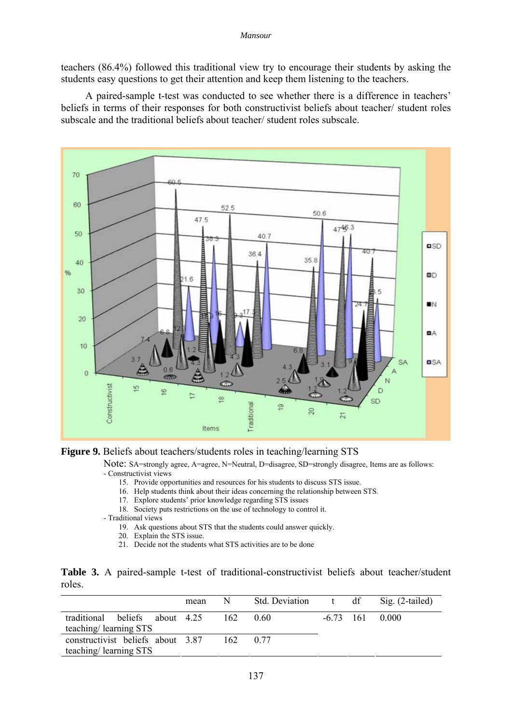teachers (86.4%) followed this traditional view try to encourage their students by asking the students easy questions to get their attention and keep them listening to the teachers.

A paired-sample t-test was conducted to see whether there is a difference in teachers' beliefs in terms of their responses for both constructivist beliefs about teacher/ student roles subscale and the traditional beliefs about teacher/ student roles subscale.



**Figure 9.** Beliefs about teachers/students roles in teaching/learning STS

Note: SA=strongly agree, A=agree, N=Neutral, D=disagree, SD=strongly disagree, Items are as follows: - Constructivist views

- 15. Provide opportunities and resources for his students to discuss STS issue.
- 16. Help students think about their ideas concerning the relationship between STS.
- 17. Explore students' prior knowledge regarding STS issues
- 18. Society puts restrictions on the use of technology to control it.
- Traditional views
	- 19. Ask questions about STS that the students could answer quickly.
	- 20. Explain the STS issue.
	- 21. Decide not the students what STS activities are to be done

|        |  |  | Table 3. A paired-sample t-test of traditional-constructivist beliefs about teacher/student |  |  |
|--------|--|--|---------------------------------------------------------------------------------------------|--|--|
| roles. |  |  |                                                                                             |  |  |

|                                                            | mean |     | N Std. Deviation | t df | Sig. $(2$ -tailed) |
|------------------------------------------------------------|------|-----|------------------|------|--------------------|
| traditional beliefs about 4.25<br>teaching/learning STS    |      | 162 | (0.60)           |      | $-6.73$ 161 0.000  |
| constructivist beliefs about 3.87<br>teaching/learning STS |      |     | 162 0.77         |      |                    |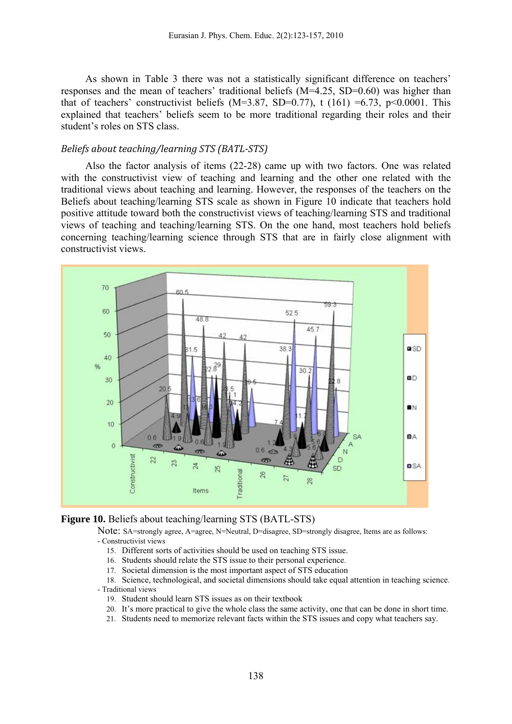As shown in Table 3 there was not a statistically significant difference on teachers' responses and the mean of teachers' traditional beliefs (M=4.25, SD=0.60) was higher than that of teachers' constructivist beliefs (M=3.87, SD=0.77), t (161) =6.73, p<0.0001. This explained that teachers' beliefs seem to be more traditional regarding their roles and their student's roles on STS class.

### *Beliefs about teaching/learning STS (BATLSTS)*

Also the factor analysis of items (22-28) came up with two factors. One was related with the constructivist view of teaching and learning and the other one related with the traditional views about teaching and learning. However, the responses of the teachers on the Beliefs about teaching/learning STS scale as shown in Figure 10 indicate that teachers hold positive attitude toward both the constructivist views of teaching/learning STS and traditional views of teaching and teaching/learning STS. On the one hand, most teachers hold beliefs concerning teaching/learning science through STS that are in fairly close alignment with constructivist views.





Note: SA=strongly agree, A=agree, N=Neutral, D=disagree, SD=strongly disagree, Items are as follows: - Constructivist views

- 15. Different sorts of activities should be used on teaching STS issue.
- 16. Students should relate the STS issue to their personal experience.
- 17. Societal dimension is the most important aspect of STS education

18. Science, technological, and societal dimensions should take equal attention in teaching science.

- Traditional views

- 19. Student should learn STS issues as on their textbook
- 20. It's more practical to give the whole class the same activity, one that can be done in short time.
- 21. Students need to memorize relevant facts within the STS issues and copy what teachers say.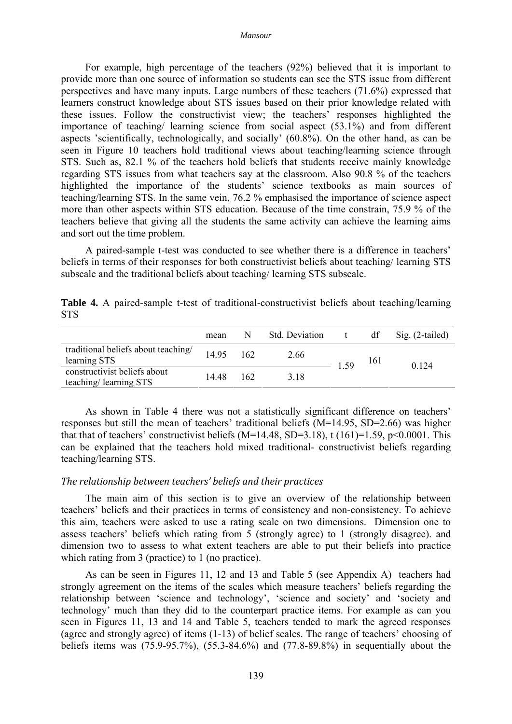For example, high percentage of the teachers (92%) believed that it is important to provide more than one source of information so students can see the STS issue from different perspectives and have many inputs. Large numbers of these teachers (71.6%) expressed that learners construct knowledge about STS issues based on their prior knowledge related with these issues. Follow the constructivist view; the teachers' responses highlighted the importance of teaching/ learning science from social aspect (53.1%) and from different aspects 'scientifically, technologically, and socially' (60.8%). On the other hand, as can be seen in Figure 10 teachers hold traditional views about teaching/learning science through STS. Such as, 82.1 % of the teachers hold beliefs that students receive mainly knowledge regarding STS issues from what teachers say at the classroom. Also 90.8 % of the teachers highlighted the importance of the students' science textbooks as main sources of teaching/learning STS. In the same vein, 76.2 % emphasised the importance of science aspect more than other aspects within STS education. Because of the time constrain, 75.9 % of the teachers believe that giving all the students the same activity can achieve the learning aims and sort out the time problem.

A paired-sample t-test was conducted to see whether there is a difference in teachers' beliefs in terms of their responses for both constructivist beliefs about teaching/ learning STS subscale and the traditional beliefs about teaching/ learning STS subscale.

**Table 4.** A paired-sample t-test of traditional-constructivist beliefs about teaching/learning STS

|                                                       | mean  | N   | <b>Std. Deviation</b> |      | df  | $Sig. (2-tailed)$ |  |
|-------------------------------------------------------|-------|-----|-----------------------|------|-----|-------------------|--|
| traditional beliefs about teaching/<br>learning STS   | 14.95 | 162 | 2.66                  | 1.59 | 161 | 0 1 2 4           |  |
| constructivist beliefs about<br>teaching/learning STS | 14 48 | 162 | 318                   |      |     |                   |  |

As shown in Table 4 there was not a statistically significant difference on teachers' responses but still the mean of teachers' traditional beliefs (M=14.95, SD=2.66) was higher that that of teachers' constructivist beliefs (M=14.48, SD=3.18), t (161)=1.59, p<0.0001. This can be explained that the teachers hold mixed traditional- constructivist beliefs regarding teaching/learning STS.

#### *The relationship between teachers' beliefs and their practices*

The main aim of this section is to give an overview of the relationship between teachers' beliefs and their practices in terms of consistency and non-consistency. To achieve this aim, teachers were asked to use a rating scale on two dimensions. Dimension one to assess teachers' beliefs which rating from 5 (strongly agree) to 1 (strongly disagree). and dimension two to assess to what extent teachers are able to put their beliefs into practice which rating from 3 (practice) to 1 (no practice).

As can be seen in Figures 11, 12 and 13 and Table 5 (see Appendix A) teachers had strongly agreement on the items of the scales which measure teachers' beliefs regarding the relationship between 'science and technology', 'science and society' and 'society and technology' much than they did to the counterpart practice items. For example as can you seen in Figures 11, 13 and 14 and Table 5, teachers tended to mark the agreed responses (agree and strongly agree) of items (1-13) of belief scales. The range of teachers' choosing of beliefs items was (75.9-95.7%), (55.3-84.6%) and (77.8-89.8%) in sequentially about the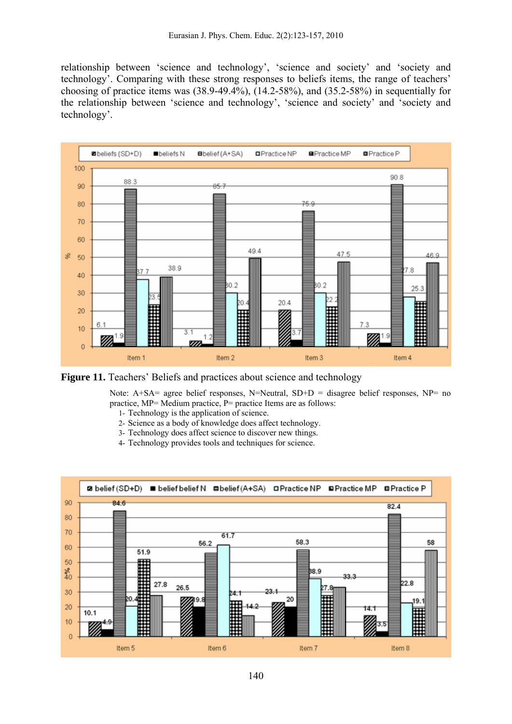relationship between 'science and technology', 'science and society' and 'society and technology'. Comparing with these strong responses to beliefs items, the range of teachers' choosing of practice items was (38.9-49.4%), (14.2-58%), and (35.2-58%) in sequentially for the relationship between 'science and technology', 'science and society' and 'society and technology'.



**Figure 11.** Teachers' Beliefs and practices about science and technology

Note:  $A+SA=$  agree belief responses, N=Neutral, SD+D = disagree belief responses, NP= no practice, MP= Medium practice, P= practice Items are as follows:

- 1- Technology is the application of science.
- 2- Science as a body of knowledge does affect technology.
- 3- Technology does affect science to discover new things.
- 4- Technology provides tools and techniques for science.

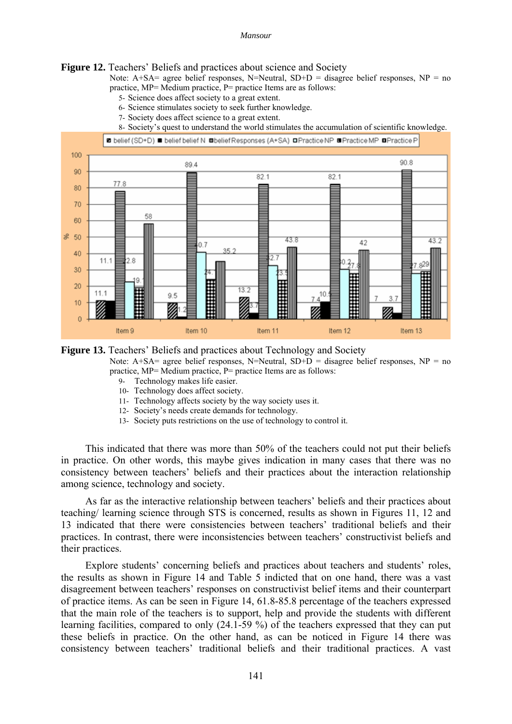#### **Figure 12.** Teachers' Beliefs and practices about science and Society

Note:  $A+SA=$  agree belief responses,  $N=Neutral$ ,  $SD+D=$  disagree belief responses,  $NP = no$ practice, MP= Medium practice, P= practice Items are as follows:

- 5- Science does affect society to a great extent.
- 6- Science stimulates society to seek further knowledge.
- 7- Society does affect science to a great extent.

8- Society's quest to understand the world stimulates the accumulation of scientific knowledge.



#### **Figure 13.** Teachers' Beliefs and practices about Technology and Society

Note: A+SA= agree belief responses, N=Neutral,  $SD+D =$  disagree belief responses, NP = no practice, MP= Medium practice, P= practice Items are as follows:

- 9- Technology makes life easier.
- 10- Technology does affect society.
- 11- Technology affects society by the way society uses it.
- 12- Society's needs create demands for technology.
- 13- Society puts restrictions on the use of technology to control it.

This indicated that there was more than 50% of the teachers could not put their beliefs in practice. On other words, this maybe gives indication in many cases that there was no consistency between teachers' beliefs and their practices about the interaction relationship among science, technology and society.

As far as the interactive relationship between teachers' beliefs and their practices about teaching/ learning science through STS is concerned, results as shown in Figures 11, 12 and 13 indicated that there were consistencies between teachers' traditional beliefs and their practices. In contrast, there were inconsistencies between teachers' constructivist beliefs and their practices.

Explore students' concerning beliefs and practices about teachers and students' roles, the results as shown in Figure 14 and Table 5 indicted that on one hand, there was a vast disagreement between teachers' responses on constructivist belief items and their counterpart of practice items. As can be seen in Figure 14, 61.8-85.8 percentage of the teachers expressed that the main role of the teachers is to support, help and provide the students with different learning facilities, compared to only (24.1-59 %) of the teachers expressed that they can put these beliefs in practice. On the other hand, as can be noticed in Figure 14 there was consistency between teachers' traditional beliefs and their traditional practices. A vast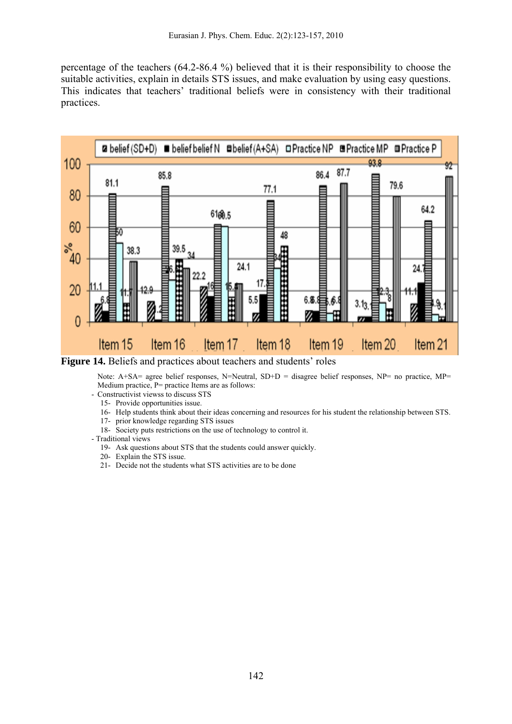percentage of the teachers (64.2-86.4 %) believed that it is their responsibility to choose the suitable activities, explain in details STS issues, and make evaluation by using easy questions. This indicates that teachers' traditional beliefs were in consistency with their traditional practices.



**Figure 14.** Beliefs and practices about teachers and students' roles

Note: A+SA= agree belief responses, N=Neutral, SD+D = disagree belief responses, NP= no practice, MP= Medium practice, P= practice Items are as follows:

- Constructivist viewss to discuss STS
	- 15- Provide opportunities issue.
	- 16- Help students think about their ideas concerning and resources for his student the relationship between STS.
	- 17- prior knowledge regarding STS issues
	- 18- Society puts restrictions on the use of technology to control it.
- Traditional views
	- 19- Ask questions about STS that the students could answer quickly.
	- 20- Explain the STS issue.
	- 21- Decide not the students what STS activities are to be done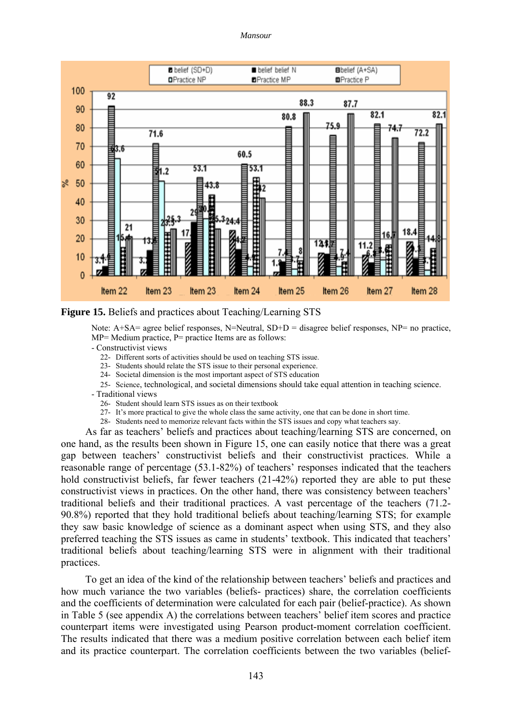#### *Mansour*





Note:  $A+SA=$  agree belief responses, N=Neutral, SD+D = disagree belief responses, NP= no practice, MP= Medium practice, P= practice Items are as follows:

- Constructivist views

- 22- Different sorts of activities should be used on teaching STS issue.
- 23- Students should relate the STS issue to their personal experience.
- 24- Societal dimension is the most important aspect of STS education
- 25- Science, technological, and societal dimensions should take equal attention in teaching science.
- Traditional views
	- 26- Student should learn STS issues as on their textbook
	- 27- It's more practical to give the whole class the same activity, one that can be done in short time.
- 28- Students need to memorize relevant facts within the STS issues and copy what teachers say.

As far as teachers' beliefs and practices about teaching/learning STS are concerned, on one hand, as the results been shown in Figure 15, one can easily notice that there was a great gap between teachers' constructivist beliefs and their constructivist practices. While a reasonable range of percentage (53.1-82%) of teachers' responses indicated that the teachers hold constructivist beliefs, far fewer teachers (21-42%) reported they are able to put these constructivist views in practices. On the other hand, there was consistency between teachers' traditional beliefs and their traditional practices. A vast percentage of the teachers (71.2- 90.8%) reported that they hold traditional beliefs about teaching/learning STS; for example they saw basic knowledge of science as a dominant aspect when using STS, and they also preferred teaching the STS issues as came in students' textbook. This indicated that teachers' traditional beliefs about teaching/learning STS were in alignment with their traditional practices.

To get an idea of the kind of the relationship between teachers' beliefs and practices and how much variance the two variables (beliefs- practices) share, the correlation coefficients and the coefficients of determination were calculated for each pair (belief-practice). As shown in Table 5 (see appendix A) the correlations between teachers' belief item scores and practice counterpart items were investigated using Pearson product-moment correlation coefficient. The results indicated that there was a medium positive correlation between each belief item and its practice counterpart. The correlation coefficients between the two variables (belief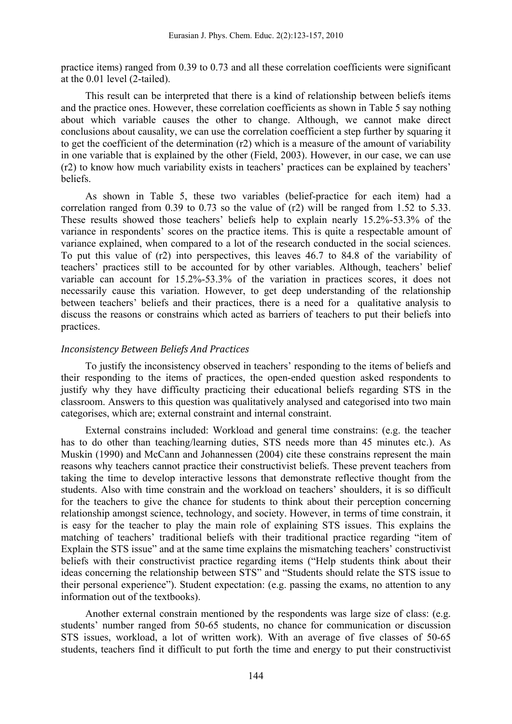practice items) ranged from 0.39 to 0.73 and all these correlation coefficients were significant at the 0.01 level (2-tailed).

This result can be interpreted that there is a kind of relationship between beliefs items and the practice ones. However, these correlation coefficients as shown in Table 5 say nothing about which variable causes the other to change. Although, we cannot make direct conclusions about causality, we can use the correlation coefficient a step further by squaring it to get the coefficient of the determination (r2) which is a measure of the amount of variability in one variable that is explained by the other (Field, 2003). However, in our case, we can use (r2) to know how much variability exists in teachers' practices can be explained by teachers' beliefs.

As shown in Table 5, these two variables (belief-practice for each item) had a correlation ranged from 0.39 to 0.73 so the value of (r2) will be ranged from 1.52 to 5.33. These results showed those teachers' beliefs help to explain nearly 15.2%-53.3% of the variance in respondents' scores on the practice items. This is quite a respectable amount of variance explained, when compared to a lot of the research conducted in the social sciences. To put this value of (r2) into perspectives, this leaves 46.7 to 84.8 of the variability of teachers' practices still to be accounted for by other variables. Although, teachers' belief variable can account for 15.2%-53.3% of the variation in practices scores, it does not necessarily cause this variation. However, to get deep understanding of the relationship between teachers' beliefs and their practices, there is a need for a qualitative analysis to discuss the reasons or constrains which acted as barriers of teachers to put their beliefs into practices.

### *Inconsistency Between Beliefs And Practices*

To justify the inconsistency observed in teachers' responding to the items of beliefs and their responding to the items of practices, the open-ended question asked respondents to justify why they have difficulty practicing their educational beliefs regarding STS in the classroom. Answers to this question was qualitatively analysed and categorised into two main categorises, which are; external constraint and internal constraint.

External constrains included: Workload and general time constrains: (e.g. the teacher has to do other than teaching/learning duties, STS needs more than 45 minutes etc.). As Muskin (1990) and McCann and Johannessen (2004) cite these constrains represent the main reasons why teachers cannot practice their constructivist beliefs. These prevent teachers from taking the time to develop interactive lessons that demonstrate reflective thought from the students. Also with time constrain and the workload on teachers' shoulders, it is so difficult for the teachers to give the chance for students to think about their perception concerning relationship amongst science, technology, and society. However, in terms of time constrain, it is easy for the teacher to play the main role of explaining STS issues. This explains the matching of teachers' traditional beliefs with their traditional practice regarding "item of Explain the STS issue" and at the same time explains the mismatching teachers' constructivist beliefs with their constructivist practice regarding items ("Help students think about their ideas concerning the relationship between STS" and "Students should relate the STS issue to their personal experience"). Student expectation: (e.g. passing the exams, no attention to any information out of the textbooks).

Another external constrain mentioned by the respondents was large size of class: (e.g. students' number ranged from 50-65 students, no chance for communication or discussion STS issues, workload, a lot of written work). With an average of five classes of 50-65 students, teachers find it difficult to put forth the time and energy to put their constructivist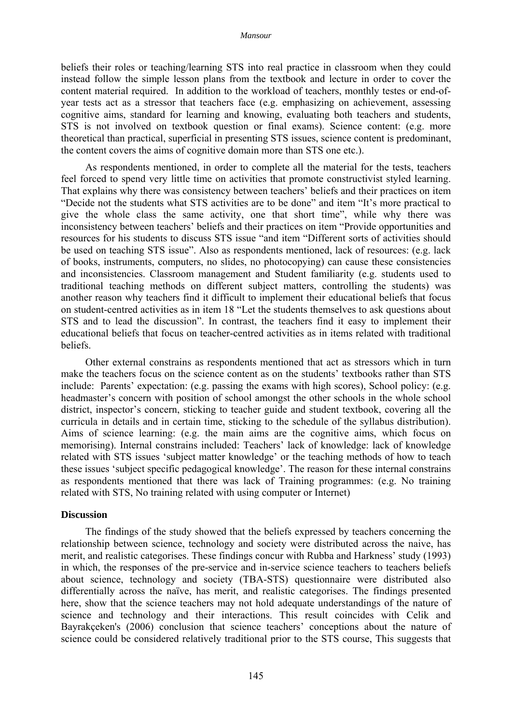beliefs their roles or teaching/learning STS into real practice in classroom when they could instead follow the simple lesson plans from the textbook and lecture in order to cover the content material required. In addition to the workload of teachers, monthly testes or end-ofyear tests act as a stressor that teachers face (e.g. emphasizing on achievement, assessing cognitive aims, standard for learning and knowing, evaluating both teachers and students, STS is not involved on textbook question or final exams). Science content: (e.g. more theoretical than practical, superficial in presenting STS issues, science content is predominant, the content covers the aims of cognitive domain more than STS one etc.).

As respondents mentioned, in order to complete all the material for the tests, teachers feel forced to spend very little time on activities that promote constructivist styled learning. That explains why there was consistency between teachers' beliefs and their practices on item "Decide not the students what STS activities are to be done" and item "It's more practical to give the whole class the same activity, one that short time", while why there was inconsistency between teachers' beliefs and their practices on item "Provide opportunities and resources for his students to discuss STS issue "and item "Different sorts of activities should be used on teaching STS issue". Also as respondents mentioned, lack of resources: (e.g. lack of books, instruments, computers, no slides, no photocopying) can cause these consistencies and inconsistencies. Classroom management and Student familiarity (e.g. students used to traditional teaching methods on different subject matters, controlling the students) was another reason why teachers find it difficult to implement their educational beliefs that focus on student-centred activities as in item 18 "Let the students themselves to ask questions about STS and to lead the discussion". In contrast, the teachers find it easy to implement their educational beliefs that focus on teacher-centred activities as in items related with traditional beliefs.

Other external constrains as respondents mentioned that act as stressors which in turn make the teachers focus on the science content as on the students' textbooks rather than STS include: Parents' expectation: (e.g. passing the exams with high scores), School policy: (e.g. headmaster's concern with position of school amongst the other schools in the whole school district, inspector's concern, sticking to teacher guide and student textbook, covering all the curricula in details and in certain time, sticking to the schedule of the syllabus distribution). Aims of science learning: (e.g. the main aims are the cognitive aims, which focus on memorising). Internal constrains included: Teachers' lack of knowledge: lack of knowledge related with STS issues 'subject matter knowledge' or the teaching methods of how to teach these issues 'subject specific pedagogical knowledge'. The reason for these internal constrains as respondents mentioned that there was lack of Training programmes: (e.g. No training related with STS, No training related with using computer or Internet)

#### **Discussion**

The findings of the study showed that the beliefs expressed by teachers concerning the relationship between science, technology and society were distributed across the naive, has merit, and realistic categorises. These findings concur with Rubba and Harkness' study (1993) in which, the responses of the pre-service and in-service science teachers to teachers beliefs about science, technology and society (TBA-STS) questionnaire were distributed also differentially across the naïve, has merit, and realistic categorises. The findings presented here, show that the science teachers may not hold adequate understandings of the nature of science and technology and their interactions. This result coincides with Celik and Bayrakçeken's (2006) conclusion that science teachers' conceptions about the nature of science could be considered relatively traditional prior to the STS course, This suggests that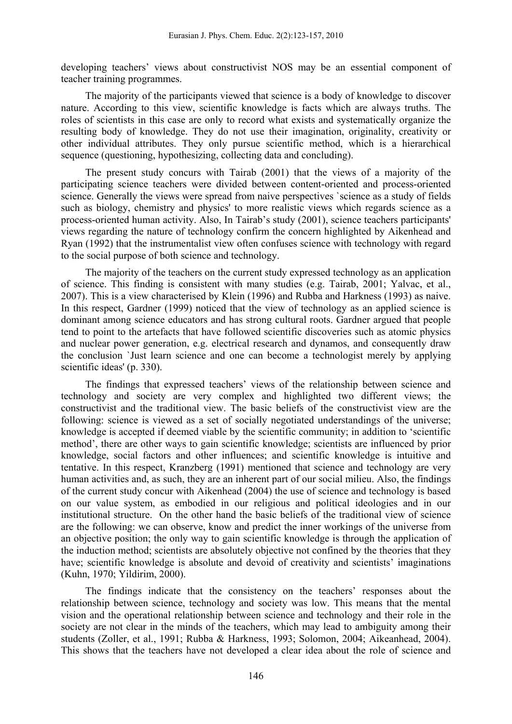developing teachers' views about constructivist NOS may be an essential component of teacher training programmes.

The majority of the participants viewed that science is a body of knowledge to discover nature. According to this view, scientific knowledge is facts which are always truths. The roles of scientists in this case are only to record what exists and systematically organize the resulting body of knowledge. They do not use their imagination, originality, creativity or other individual attributes. They only pursue scientific method, which is a hierarchical sequence (questioning, hypothesizing, collecting data and concluding).

The present study concurs with Tairab (2001) that the views of a majority of the participating science teachers were divided between content-oriented and process-oriented science. Generally the views were spread from naive perspectives `science as a study of fields such as biology, chemistry and physics' to more realistic views which regards science as a process-oriented human activity. Also, In Tairab's study (2001), science teachers participants' views regarding the nature of technology confirm the concern highlighted by Aikenhead and Ryan (1992) that the instrumentalist view often confuses science with technology with regard to the social purpose of both science and technology.

The majority of the teachers on the current study expressed technology as an application of science. This finding is consistent with many studies (e.g. Tairab, 2001; Yalvac, et al., 2007). This is a view characterised by Klein (1996) and Rubba and Harkness (1993) as naive. In this respect, Gardner (1999) noticed that the view of technology as an applied science is dominant among science educators and has strong cultural roots. Gardner argued that people tend to point to the artefacts that have followed scientific discoveries such as atomic physics and nuclear power generation, e.g. electrical research and dynamos, and consequently draw the conclusion `Just learn science and one can become a technologist merely by applying scientific ideas' (p. 330).

The findings that expressed teachers' views of the relationship between science and technology and society are very complex and highlighted two different views; the constructivist and the traditional view. The basic beliefs of the constructivist view are the following: science is viewed as a set of socially negotiated understandings of the universe; knowledge is accepted if deemed viable by the scientific community; in addition to 'scientific method', there are other ways to gain scientific knowledge; scientists are influenced by prior knowledge, social factors and other influences; and scientific knowledge is intuitive and tentative. In this respect, Kranzberg (1991) mentioned that science and technology are very human activities and, as such, they are an inherent part of our social milieu. Also, the findings of the current study concur with Aikenhead (2004) the use of science and technology is based on our value system, as embodied in our religious and political ideologies and in our institutional structure. On the other hand the basic beliefs of the traditional view of science are the following: we can observe, know and predict the inner workings of the universe from an objective position; the only way to gain scientific knowledge is through the application of the induction method; scientists are absolutely objective not confined by the theories that they have; scientific knowledge is absolute and devoid of creativity and scientists' imaginations (Kuhn, 1970; Yildirim, 2000).

The findings indicate that the consistency on the teachers' responses about the relationship between science, technology and society was low. This means that the mental vision and the operational relationship between science and technology and their role in the society are not clear in the minds of the teachers, which may lead to ambiguity among their students (Zoller, et al., 1991; Rubba & Harkness, 1993; Solomon, 2004; Aikeanhead, 2004). This shows that the teachers have not developed a clear idea about the role of science and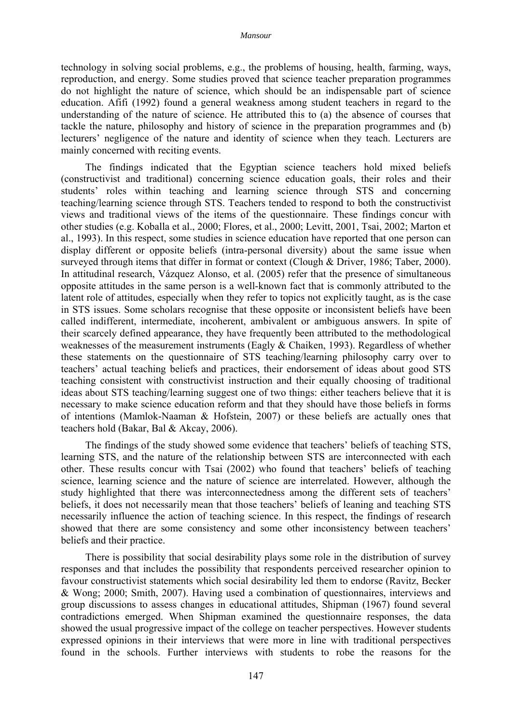technology in solving social problems, e.g., the problems of housing, health, farming, ways, reproduction, and energy. Some studies proved that science teacher preparation programmes do not highlight the nature of science, which should be an indispensable part of science education. Afifi (1992) found a general weakness among student teachers in regard to the understanding of the nature of science. He attributed this to (a) the absence of courses that tackle the nature, philosophy and history of science in the preparation programmes and (b) lecturers' negligence of the nature and identity of science when they teach. Lecturers are mainly concerned with reciting events.

The findings indicated that the Egyptian science teachers hold mixed beliefs (constructivist and traditional) concerning science education goals, their roles and their students' roles within teaching and learning science through STS and concerning teaching/learning science through STS. Teachers tended to respond to both the constructivist views and traditional views of the items of the questionnaire. These findings concur with other studies (e.g. Koballa et al., 2000; Flores, et al., 2000; Levitt, 2001, Tsai, 2002; Marton et al., 1993). In this respect, some studies in science education have reported that one person can display different or opposite beliefs (intra-personal diversity) about the same issue when surveyed through items that differ in format or context (Clough & Driver, 1986; Taber, 2000). In attitudinal research, Vázquez Alonso, et al. (2005) refer that the presence of simultaneous opposite attitudes in the same person is a well-known fact that is commonly attributed to the latent role of attitudes, especially when they refer to topics not explicitly taught, as is the case in STS issues. Some scholars recognise that these opposite or inconsistent beliefs have been called indifferent, intermediate, incoherent, ambivalent or ambiguous answers. In spite of their scarcely defined appearance, they have frequently been attributed to the methodological weaknesses of the measurement instruments (Eagly & Chaiken, 1993). Regardless of whether these statements on the questionnaire of STS teaching/learning philosophy carry over to teachers' actual teaching beliefs and practices, their endorsement of ideas about good STS teaching consistent with constructivist instruction and their equally choosing of traditional ideas about STS teaching/learning suggest one of two things: either teachers believe that it is necessary to make science education reform and that they should have those beliefs in forms of intentions (Mamlok-Naaman & Hofstein, 2007) or these beliefs are actually ones that teachers hold (Bakar, Bal & Akcay, 2006).

The findings of the study showed some evidence that teachers' beliefs of teaching STS, learning STS, and the nature of the relationship between STS are interconnected with each other. These results concur with Tsai (2002) who found that teachers' beliefs of teaching science, learning science and the nature of science are interrelated. However, although the study highlighted that there was interconnectedness among the different sets of teachers' beliefs, it does not necessarily mean that those teachers' beliefs of leaning and teaching STS necessarily influence the action of teaching science. In this respect, the findings of research showed that there are some consistency and some other inconsistency between teachers' beliefs and their practice.

There is possibility that social desirability plays some role in the distribution of survey responses and that includes the possibility that respondents perceived researcher opinion to favour constructivist statements which social desirability led them to endorse (Ravitz, Becker & Wong; 2000; Smith, 2007). Having used a combination of questionnaires, interviews and group discussions to assess changes in educational attitudes, Shipman (1967) found several contradictions emerged. When Shipman examined the questionnaire responses, the data showed the usual progressive impact of the college on teacher perspectives. However students expressed opinions in their interviews that were more in line with traditional perspectives found in the schools. Further interviews with students to robe the reasons for the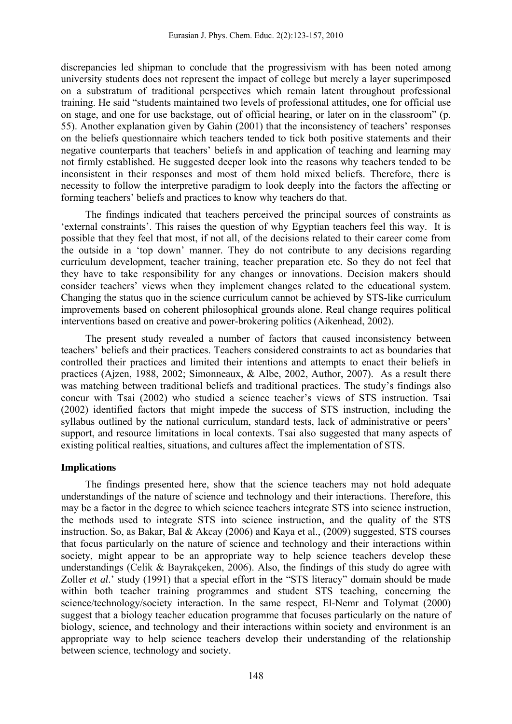discrepancies led shipman to conclude that the progressivism with has been noted among university students does not represent the impact of college but merely a layer superimposed on a substratum of traditional perspectives which remain latent throughout professional training. He said "students maintained two levels of professional attitudes, one for official use on stage, and one for use backstage, out of official hearing, or later on in the classroom" (p. 55). Another explanation given by Gahin (2001) that the inconsistency of teachers' responses on the beliefs questionnaire which teachers tended to tick both positive statements and their negative counterparts that teachers' beliefs in and application of teaching and learning may not firmly established. He suggested deeper look into the reasons why teachers tended to be inconsistent in their responses and most of them hold mixed beliefs. Therefore, there is necessity to follow the interpretive paradigm to look deeply into the factors the affecting or forming teachers' beliefs and practices to know why teachers do that.

The findings indicated that teachers perceived the principal sources of constraints as 'external constraints'. This raises the question of why Egyptian teachers feel this way. It is possible that they feel that most, if not all, of the decisions related to their career come from the outside in a 'top down' manner. They do not contribute to any decisions regarding curriculum development, teacher training, teacher preparation etc. So they do not feel that they have to take responsibility for any changes or innovations. Decision makers should consider teachers' views when they implement changes related to the educational system. Changing the status quo in the science curriculum cannot be achieved by STS-like curriculum improvements based on coherent philosophical grounds alone. Real change requires political interventions based on creative and power-brokering politics (Aikenhead, 2002).

The present study revealed a number of factors that caused inconsistency between teachers' beliefs and their practices. Teachers considered constraints to act as boundaries that controlled their practices and limited their intentions and attempts to enact their beliefs in practices (Ajzen, 1988, 2002; Simonneaux, & Albe, 2002, Author, 2007). As a result there was matching between traditional beliefs and traditional practices. The study's findings also concur with Tsai (2002) who studied a science teacher's views of STS instruction. Tsai (2002) identified factors that might impede the success of STS instruction, including the syllabus outlined by the national curriculum, standard tests, lack of administrative or peers' support, and resource limitations in local contexts. Tsai also suggested that many aspects of existing political realties, situations, and cultures affect the implementation of STS.

### **Implications**

The findings presented here, show that the science teachers may not hold adequate understandings of the nature of science and technology and their interactions. Therefore, this may be a factor in the degree to which science teachers integrate STS into science instruction, the methods used to integrate STS into science instruction, and the quality of the STS instruction. So, as Bakar, Bal & Akcay (2006) and Kaya et al., (2009) suggested, STS courses that focus particularly on the nature of science and technology and their interactions within society, might appear to be an appropriate way to help science teachers develop these understandings (Celik & Bayrakçeken, 2006). Also, the findings of this study do agree with Zoller *et al*.' study (1991) that a special effort in the "STS literacy" domain should be made within both teacher training programmes and student STS teaching, concerning the science/technology/society interaction. In the same respect, El-Nemr and Tolymat (2000) suggest that a biology teacher education programme that focuses particularly on the nature of biology, science, and technology and their interactions within society and environment is an appropriate way to help science teachers develop their understanding of the relationship between science, technology and society.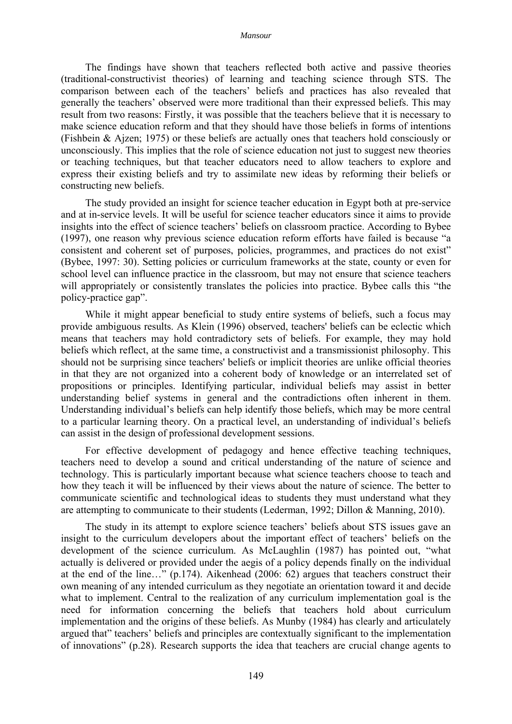The findings have shown that teachers reflected both active and passive theories (traditional-constructivist theories) of learning and teaching science through STS. The comparison between each of the teachers' beliefs and practices has also revealed that generally the teachers' observed were more traditional than their expressed beliefs. This may result from two reasons: Firstly, it was possible that the teachers believe that it is necessary to make science education reform and that they should have those beliefs in forms of intentions (Fishbein & Ajzen; 1975) or these beliefs are actually ones that teachers hold consciously or unconsciously. This implies that the role of science education not just to suggest new theories or teaching techniques, but that teacher educators need to allow teachers to explore and express their existing beliefs and try to assimilate new ideas by reforming their beliefs or constructing new beliefs.

The study provided an insight for science teacher education in Egypt both at pre-service and at in-service levels. It will be useful for science teacher educators since it aims to provide insights into the effect of science teachers' beliefs on classroom practice. According to Bybee (1997), one reason why previous science education reform efforts have failed is because "a consistent and coherent set of purposes, policies, programmes, and practices do not exist" (Bybee, 1997: 30). Setting policies or curriculum frameworks at the state, county or even for school level can influence practice in the classroom, but may not ensure that science teachers will appropriately or consistently translates the policies into practice. Bybee calls this "the policy-practice gap".

While it might appear beneficial to study entire systems of beliefs, such a focus may provide ambiguous results. As Klein (1996) observed, teachers' beliefs can be eclectic which means that teachers may hold contradictory sets of beliefs. For example, they may hold beliefs which reflect, at the same time, a constructivist and a transmissionist philosophy. This should not be surprising since teachers' beliefs or implicit theories are unlike official theories in that they are not organized into a coherent body of knowledge or an interrelated set of propositions or principles. Identifying particular, individual beliefs may assist in better understanding belief systems in general and the contradictions often inherent in them. Understanding individual's beliefs can help identify those beliefs, which may be more central to a particular learning theory. On a practical level, an understanding of individual's beliefs can assist in the design of professional development sessions.

For effective development of pedagogy and hence effective teaching techniques, teachers need to develop a sound and critical understanding of the nature of science and technology. This is particularly important because what science teachers choose to teach and how they teach it will be influenced by their views about the nature of science. The better to communicate scientific and technological ideas to students they must understand what they are attempting to communicate to their students (Lederman, 1992; Dillon & Manning, 2010).

The study in its attempt to explore science teachers' beliefs about STS issues gave an insight to the curriculum developers about the important effect of teachers' beliefs on the development of the science curriculum. As McLaughlin (1987) has pointed out, "what actually is delivered or provided under the aegis of a policy depends finally on the individual at the end of the line…" (p.174). Aikenhead (2006: 62) argues that teachers construct their own meaning of any intended curriculum as they negotiate an orientation toward it and decide what to implement. Central to the realization of any curriculum implementation goal is the need for information concerning the beliefs that teachers hold about curriculum implementation and the origins of these beliefs. As Munby (1984) has clearly and articulately argued that" teachers' beliefs and principles are contextually significant to the implementation of innovations" (p.28). Research supports the idea that teachers are crucial change agents to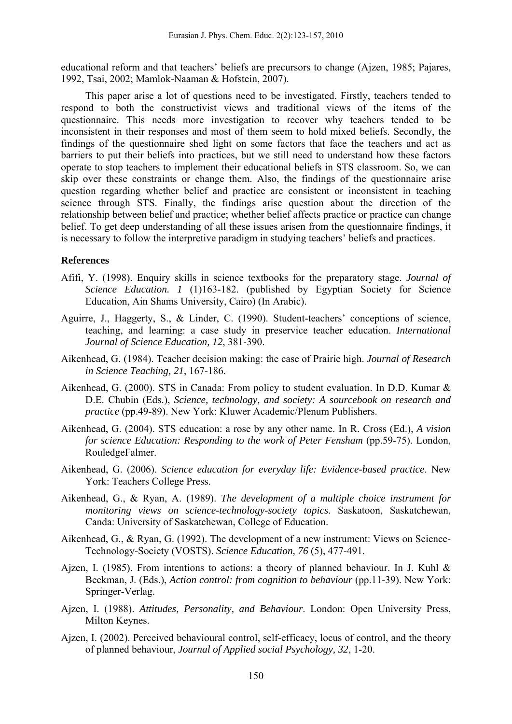educational reform and that teachers' beliefs are precursors to change (Ajzen, 1985; Pajares, 1992, Tsai, 2002; Mamlok-Naaman & Hofstein, 2007).

This paper arise a lot of questions need to be investigated. Firstly, teachers tended to respond to both the constructivist views and traditional views of the items of the questionnaire. This needs more investigation to recover why teachers tended to be inconsistent in their responses and most of them seem to hold mixed beliefs. Secondly, the findings of the questionnaire shed light on some factors that face the teachers and act as barriers to put their beliefs into practices, but we still need to understand how these factors operate to stop teachers to implement their educational beliefs in STS classroom. So, we can skip over these constraints or change them. Also, the findings of the questionnaire arise question regarding whether belief and practice are consistent or inconsistent in teaching science through STS. Finally, the findings arise question about the direction of the relationship between belief and practice; whether belief affects practice or practice can change belief. To get deep understanding of all these issues arisen from the questionnaire findings, it is necessary to follow the interpretive paradigm in studying teachers' beliefs and practices.

### **References**

- Afifi, Y. (1998). Enquiry skills in science textbooks for the preparatory stage. *Journal of Science Education. 1* (1)163-182. (published by Egyptian Society for Science Education, Ain Shams University, Cairo) (In Arabic).
- Aguirre, J., Haggerty, S., & Linder, C. (1990). Student-teachers' conceptions of science, teaching, and learning: a case study in preservice teacher education. *International Journal of Science Education, 12*, 381-390.
- Aikenhead, G. (1984). Teacher decision making: the case of Prairie high. *Journal of Research in Science Teaching, 21*, 167-186.
- Aikenhead, G. (2000). STS in Canada: From policy to student evaluation. In D.D. Kumar & D.E. Chubin (Eds.), *Science, technology, and society: A sourcebook on research and practice* (pp.49-89). New York: Kluwer Academic/Plenum Publishers.
- Aikenhead, G. (2004). STS education: a rose by any other name. In R. Cross (Ed.), *A vision for science Education: Responding to the work of Peter Fensham* (pp.59-75). London, RouledgeFalmer.
- Aikenhead, G. (2006). *Science education for everyday life: Evidence-based practice*. New York: Teachers College Press.
- Aikenhead, G., & Ryan, A. (1989). *The development of a multiple choice instrument for monitoring views on science-technology-society topics*. Saskatoon, Saskatchewan, Canda: University of Saskatchewan, College of Education.
- Aikenhead, G., & Ryan, G. (1992). The development of a new instrument: Views on Science-Technology-Society (VOSTS). *Science Education, 76* (5), 477-491.
- Ajzen, I. (1985). From intentions to actions: a theory of planned behaviour. In J. Kuhl & Beckman, J. (Eds.), *Action control: from cognition to behaviour* (pp.11-39). New York: Springer-Verlag.
- Ajzen, I. (1988). *Attitudes, Personality, and Behaviour*. London: Open University Press, Milton Keynes.
- Ajzen, I. (2002). Perceived behavioural control, self-efficacy, locus of control, and the theory of planned behaviour, *Journal of Applied social Psychology, 32*, 1-20.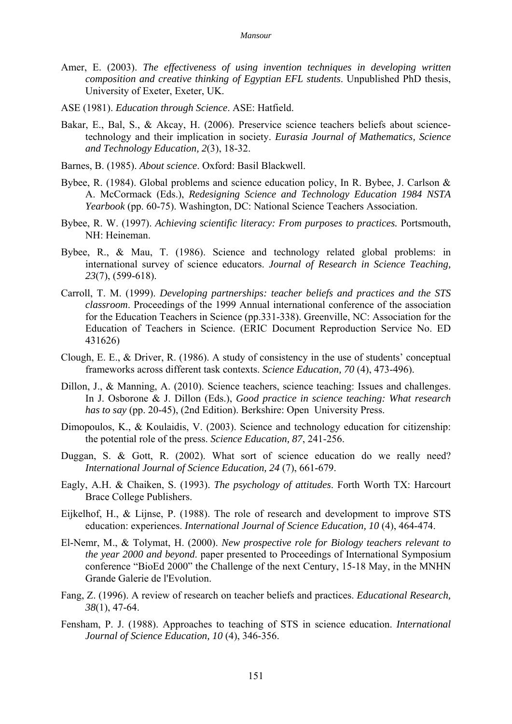- Amer, E. (2003). *The effectiveness of using invention techniques in developing written composition and creative thinking of Egyptian EFL students*. Unpublished PhD thesis, University of Exeter, Exeter, UK.
- ASE (1981). *Education through Science*. ASE: Hatfield.
- Bakar, E., Bal, S., & Akcay, H. (2006). Preservice science teachers beliefs about sciencetechnology and their implication in society. *Eurasia Journal of Mathematics, Science and Technology Education, 2*(3), 18-32.
- Barnes, B. (1985). *About science*. Oxford: Basil Blackwell.
- Bybee, R. (1984). Global problems and science education policy, In R. Bybee, J. Carlson & A. McCormack (Eds.), *Redesigning Science and Technology Education 1984 NSTA Yearbook* (pp. 60-75). Washington, DC: National Science Teachers Association.
- Bybee, R. W. (1997). *Achieving scientific literacy: From purposes to practices.* Portsmouth, NH: Heineman.
- Bybee, R., & Mau, T. (1986). Science and technology related global problems: in international survey of science educators. *Journal of Research in Science Teaching, 23*(7), (599-618).
- Carroll, T. M. (1999). *Developing partnerships: teacher beliefs and practices and the STS classroom*. Proceedings of the 1999 Annual international conference of the association for the Education Teachers in Science (pp.331-338). Greenville, NC: Association for the Education of Teachers in Science. (ERIC Document Reproduction Service No. ED 431626)
- Clough, E. E., & Driver, R. (1986). A study of consistency in the use of students' conceptual frameworks across different task contexts. *Science Education, 70* (4), 473-496).
- Dillon, J., & Manning, A. (2010). Science teachers, science teaching: Issues and challenges. In J. Osborone & J. Dillon (Eds.), *Good practice in science teaching: What research has to say* (pp. 20-45), (2nd Edition). Berkshire: Open University Press.
- Dimopoulos, K., & Koulaidis, V. (2003). Science and technology education for citizenship: the potential role of the press. *Science Education, 87*, 241-256.
- Duggan, S. & Gott, R. (2002). What sort of science education do we really need? *International Journal of Science Education, 24* (7), 661-679.
- Eagly, A.H. & Chaiken, S. (1993). *The psychology of attitudes*. Forth Worth TX: Harcourt Brace College Publishers.
- Eijkelhof, H., & Lijnse, P. (1988). The role of research and development to improve STS education: experiences. *International Journal of Science Education, 10* (4), 464-474.
- El-Nemr, M., & Tolymat, H. (2000). *New prospective role for Biology teachers relevant to the year 2000 and beyond*. paper presented to Proceedings of International Symposium conference "BioEd 2000" the Challenge of the next Century, 15-18 May, in the MNHN Grande Galerie de l'Evolution.
- Fang, Z. (1996). A review of research on teacher beliefs and practices. *Educational Research, 38*(1), 47-64.
- Fensham, P. J. (1988). Approaches to teaching of STS in science education. *International Journal of Science Education, 10* (4), 346-356.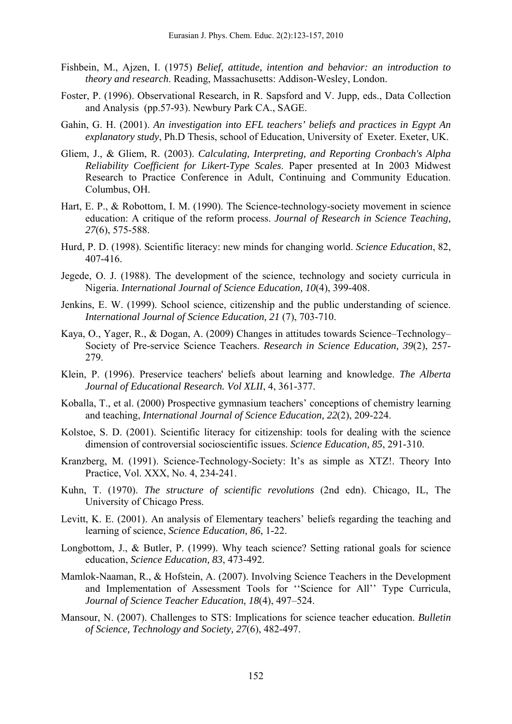- Fishbein, M., Ajzen, I. (1975) *Belief, attitude, intention and behavior: an introduction to theory and research*. Reading, Massachusetts: Addison-Wesley, London.
- Foster, P. (1996). Observational Research, in R. Sapsford and V. Jupp, eds., Data Collection and Analysis (pp.57-93). Newbury Park CA., SAGE.
- Gahin, G. H. (2001). *An investigation into EFL teachers' beliefs and practices in Egypt An explanatory study*, Ph.D Thesis, school of Education, University of Exeter. Exeter, UK.
- Gliem, J., & Gliem, R. (2003). *Calculating, Interpreting, and Reporting Cronbach's Alpha Reliability Coefficient for Likert-Type Scales*. Paper presented at In 2003 Midwest Research to Practice Conference in Adult, Continuing and Community Education. Columbus, OH.
- Hart, E. P., & Robottom, I. M. (1990). The Science-technology-society movement in science education: A critique of the reform process. *Journal of Research in Science Teaching, 27*(6), 575-588.
- Hurd, P. D. (1998). Scientific literacy: new minds for changing world. *Science Education*, 82, 407-416.
- Jegede, O. J. (1988). The development of the science, technology and society curricula in Nigeria. *International Journal of Science Education, 10*(4), 399-408.
- Jenkins, E. W. (1999). School science, citizenship and the public understanding of science. *International Journal of Science Education, 21* (7), 703-710.
- Kaya, O., Yager, R., & Dogan, A. (2009) Changes in attitudes towards Science–Technology– Society of Pre-service Science Teachers. *Research in Science Education, 39*(2), 257- 279.
- Klein, P. (1996). Preservice teachers' beliefs about learning and knowledge. *The Alberta Journal of Educational Research. Vol XLII*, 4, 361-377.
- Koballa, T., et al. (2000) Prospective gymnasium teachers' conceptions of chemistry learning and teaching, *International Journal of Science Education, 22*(2), 209-224.
- Kolstoe, S. D. (2001). Scientific literacy for citizenship: tools for dealing with the science dimension of controversial socioscientific issues. *Science Education, 85*, 291-310.
- Kranzberg, M. (1991). Science-Technology-Society: It's as simple as XTZ!. Theory Into Practice, Vol. XXX, No. 4, 234-241.
- Kuhn, T. (1970). *The structure of scientific revolutions* (2nd edn). Chicago, IL, The University of Chicago Press.
- Levitt, K. E. (2001). An analysis of Elementary teachers' beliefs regarding the teaching and learning of science, *Science Education, 86*, 1-22.
- Longbottom, J., & Butler, P. (1999). Why teach science? Setting rational goals for science education, *Science Education, 83*, 473-492.
- Mamlok-Naaman, R., & Hofstein, A. (2007). Involving Science Teachers in the Development and Implementation of Assessment Tools for ''Science for All'' Type Curricula, *Journal of Science Teacher Education, 18*(4), 497–524.
- Mansour, N. (2007). Challenges to STS: Implications for science teacher education. *Bulletin of Science, Technology and Society, 27*(6), 482-497.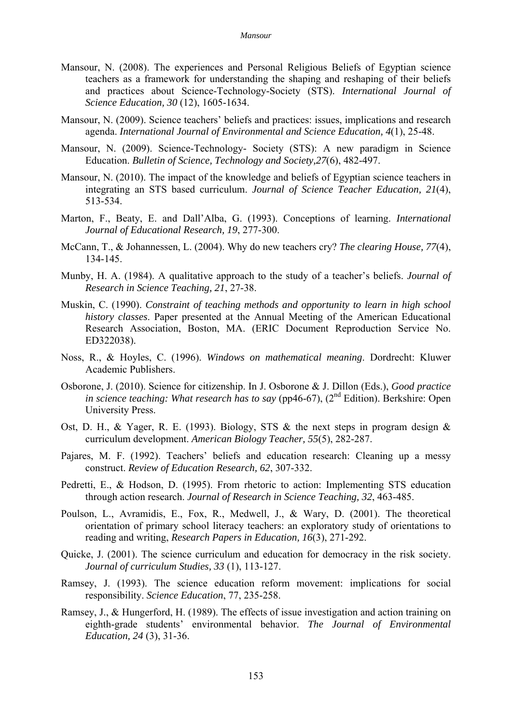- Mansour, N. (2008). The experiences and Personal Religious Beliefs of Egyptian science teachers as a framework for understanding the shaping and reshaping of their beliefs and practices about Science-Technology-Society (STS). *International Journal of Science Education, 30* (12), 1605-1634.
- Mansour, N. (2009). Science teachers' beliefs and practices: issues, implications and research agenda. *International Journal of Environmental and Science Education, 4*(1), 25-48.
- Mansour, N. (2009). Science-Technology- Society (STS): A new paradigm in Science Education. *Bulletin of Science, Technology and Society,27*(6), 482-497.
- Mansour, N. (2010). The impact of the knowledge and beliefs of Egyptian science teachers in integrating an STS based curriculum. *Journal of Science Teacher Education, 21*(4), 513-534.
- Marton, F., Beaty, E. and Dall'Alba, G. (1993). Conceptions of learning. *International Journal of Educational Research, 19*, 277-300.
- McCann, T., & Johannessen, L. (2004). Why do new teachers cry? *The clearing House, 77*(4), 134-145.
- Munby, H. A. (1984). A qualitative approach to the study of a teacher's beliefs. *Journal of Research in Science Teaching, 21*, 27-38.
- Muskin, C. (1990). *Constraint of teaching methods and opportunity to learn in high school history classes*. Paper presented at the Annual Meeting of the American Educational Research Association, Boston, MA. (ERIC Document Reproduction Service No. ED322038).
- Noss, R., & Hoyles, C. (1996). *Windows on mathematical meaning*. Dordrecht: Kluwer Academic Publishers.
- Osborone, J. (2010). Science for citizenship. In J. Osborone & J. Dillon (Eds.), *Good practice in science teaching: What research has to say* (pp46-67),  $(2^{nd}$  Edition). Berkshire: Open University Press.
- Ost, D. H., & Yager, R. E. (1993). Biology, STS & the next steps in program design & curriculum development. *American Biology Teacher, 55*(5), 282-287.
- Pajares, M. F. (1992). Teachers' beliefs and education research: Cleaning up a messy construct. *Review of Education Research, 62*, 307-332.
- Pedretti, E., & Hodson, D. (1995). From rhetoric to action: Implementing STS education through action research. *Journal of Research in Science Teaching, 32*, 463-485.
- Poulson, L., Avramidis, E., Fox, R., Medwell, J., & Wary, D. (2001). The theoretical orientation of primary school literacy teachers: an exploratory study of orientations to reading and writing, *Research Papers in Education, 16*(3), 271-292.
- Quicke, J. (2001). The science curriculum and education for democracy in the risk society. *Journal of curriculum Studies, 33* (1), 113-127.
- Ramsey, J. (1993). The science education reform movement: implications for social responsibility. *Science Education*, 77, 235-258.
- Ramsey, J., & Hungerford, H. (1989). The effects of issue investigation and action training on eighth-grade students' environmental behavior. *The Journal of Environmental Education, 24* (3), 31-36.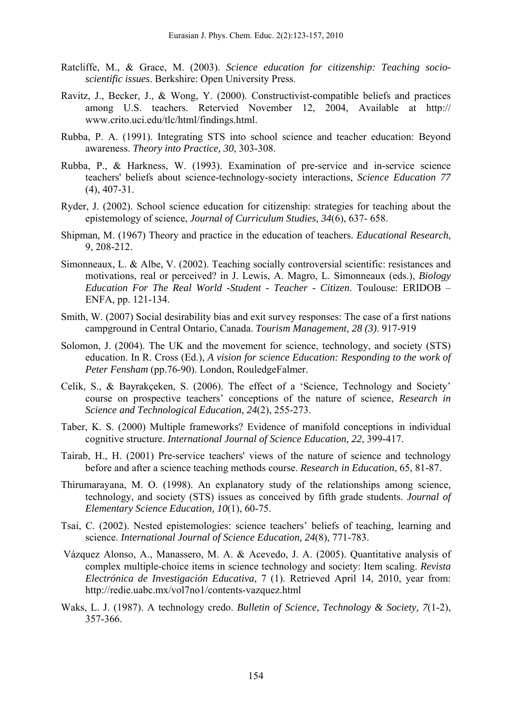- Ratcliffe, M., & Grace, M. (2003). *Science education for citizenship: Teaching socioscientific issues*. Berkshire: Open University Press.
- Ravitz, J., Becker, J., & Wong, Y. (2000). Constructivist-compatible beliefs and practices among U.S. teachers. Retervied November 12, 2004, Available at http:// www.crito.uci.edu/tlc/html/findings.html.
- Rubba, P. A. (1991). Integrating STS into school science and teacher education: Beyond awareness. *Theory into Practice, 30*, 303-308.
- Rubba, P., & Harkness, W. (1993). Examination of pre-service and in-service science teachers' beliefs about science-technology-society interactions, *Science Education 77* (4), 407-31.
- Ryder, J. (2002). School science education for citizenship: strategies for teaching about the epistemology of science, *Journal of Curriculum Studies, 34*(6), 637- 658.
- Shipman, M. (1967) Theory and practice in the education of teachers. *Educational Research*, 9, 208-212.
- Simonneaux, L. & Albe, V. (2002). Teaching socially controversial scientific: resistances and motivations, real or perceived? in J. Lewis, A. Magro, L. Simonneaux (eds.), *Biology Education For The Real World -Student - Teacher - Citizen*. Toulouse: ERIDOB – ENFA, pp. 121-134.
- Smith, W. (2007) Social desirability bias and exit survey responses: The case of a first nations campground in Central Ontario, Canada. *Tourism Management, 28 (3)*. 917-919
- Solomon, J. (2004). The UK and the movement for science, technology, and society (STS) education. In R. Cross (Ed.), *A vision for science Education: Responding to the work of Peter Fensham* (pp.76-90). London, RouledgeFalmer.
- Celik, S., & Bayrakçeken, S. (2006). The effect of a 'Science, Technology and Society' course on prospective teachers' conceptions of the nature of science, *Research in Science and Technological Education, 24*(2), 255-273.
- Taber, K. S. (2000) Multiple frameworks? Evidence of manifold conceptions in individual cognitive structure. *International Journal of Science Education, 22*, 399-417.
- Tairab, H., H. (2001) Pre-service teachers' views of the nature of science and technology before and after a science teaching methods course. *Research in Education*, 65, 81-87.
- Thirumarayana, M. O. (1998). An explanatory study of the relationships among science, technology, and society (STS) issues as conceived by fifth grade students. *Journal of Elementary Science Education, 10*(1), 60-75.
- Tsai, C. (2002). Nested epistemologies: science teachers' beliefs of teaching, learning and science. *International Journal of Science Education, 24*(8), 771-783.
- Vázquez Alonso, A., Manassero, M. A. & Acevedo, J. A. (2005). Quantitative analysis of complex multiple-choice items in science technology and society: Item scaling. *Revista Electrónica de Investigación Educativa*, 7 (1). Retrieved April 14, 2010, year from: http://redie.uabc.mx/vol7no1/contents-vazquez.html
- Waks, L. J. (1987). A technology credo. *Bulletin of Science, Technology & Society, 7*(1-2), 357-366.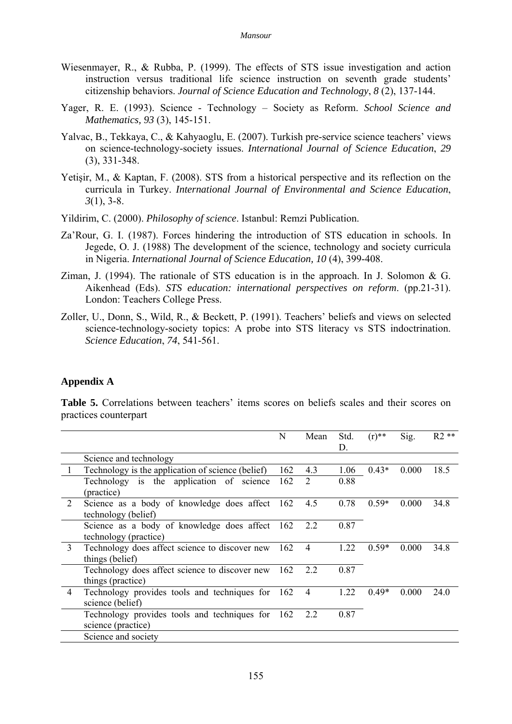- Wiesenmayer, R., & Rubba, P. (1999). The effects of STS issue investigation and action instruction versus traditional life science instruction on seventh grade students' citizenship behaviors. *Journal of Science Education and Technology*, *8* (2), 137-144.
- Yager, R. E. (1993). Science Technology Society as Reform. *School Science and Mathematics, 93* (3), 145-151.
- Yalvac, B., Tekkaya, C., & Kahyaoglu, E. (2007). Turkish pre-service science teachers' views on science-technology-society issues. *International Journal of Science Education*, *29* (3), 331-348.
- Yetişir, M., & Kaptan, F. (2008). STS from a historical perspective and its reflection on the curricula in Turkey. *International Journal of Environmental and Science Education*, *3*(1), 3-8.
- Yildirim, C. (2000). *Philosophy of science*. Istanbul: Remzi Publication.
- Za'Rour, G. I. (1987). Forces hindering the introduction of STS education in schools. In Jegede, O. J. (1988) The development of the science, technology and society curricula in Nigeria. *International Journal of Science Education, 10* (4), 399-408.
- Ziman, J. (1994). The rationale of STS education is in the approach. In J. Solomon & G. Aikenhead (Eds). *STS education: international perspectives on reform*. (pp.21-31). London: Teachers College Press.
- Zoller, U., Donn, S., Wild, R., & Beckett, P. (1991). Teachers' beliefs and views on selected science-technology-society topics: A probe into STS literacy vs STS indoctrination. *Science Education*, *74*, 541-561.

#### **Appendix A**

**Table 5.** Correlations between teachers' items scores on beliefs scales and their scores on practices counterpart

|                |                                                                         | N   | Mean           | Std.<br>D. | $(r)$ ** | Sig.  | $R2**$ |
|----------------|-------------------------------------------------------------------------|-----|----------------|------------|----------|-------|--------|
|                | Science and technology                                                  |     |                |            |          |       |        |
|                | Technology is the application of science (belief)                       | 162 | 4.3            | 1.06       | $0.43*$  | 0.000 | 18.5   |
|                | Technology is the application of science<br>(practice)                  | 162 | 2              | 0.88       |          |       |        |
| 2              | Science as a body of knowledge does affect<br>technology (belief)       | 162 | 4.5            | 0.78       | $0.59*$  | 0.000 | 34.8   |
|                | Science as a body of knowledge does affect 162<br>technology (practice) |     | 2.2            | 0.87       |          |       |        |
| $\overline{3}$ | Technology does affect science to discover new<br>things (belief)       | 162 | $\overline{4}$ | 1.22       | $0.59*$  | 0.000 | 34.8   |
|                | Technology does affect science to discover new<br>things (practice)     | 162 | 2.2            | 0.87       |          |       |        |
| $\overline{4}$ | Technology provides tools and techniques for<br>science (belief)        | 162 | $\overline{4}$ | 1.22       | $0.49*$  | 0.000 | 24.0   |
|                | Technology provides tools and techniques for 162<br>science (practice)  |     | 2.2            | 0.87       |          |       |        |
|                | Science and society                                                     |     |                |            |          |       |        |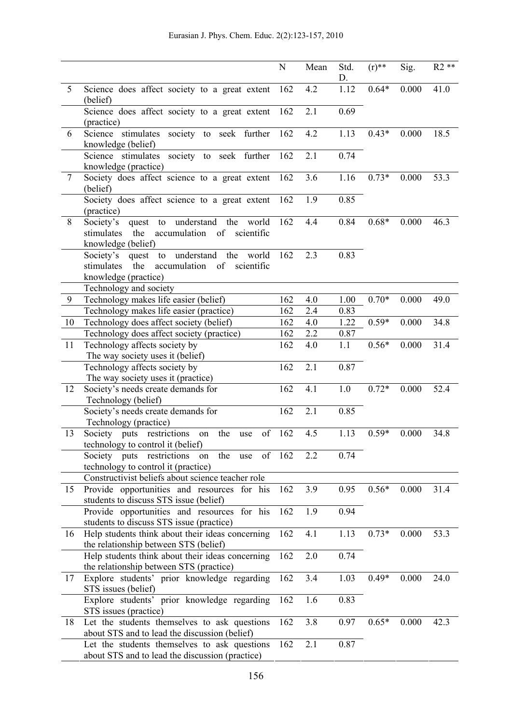|                |                                                                                                                     | ${\bf N}$ | Mean | Std.<br>D. | $(r)$ ** | Sig.  | $R2**$ |
|----------------|---------------------------------------------------------------------------------------------------------------------|-----------|------|------------|----------|-------|--------|
| 5              | Science does affect society to a great extent<br>(belief)                                                           | 162       | 4.2  | 1.12       | $0.64*$  | 0.000 | 41.0   |
|                | Science does affect society to a great extent<br>(practice)                                                         | 162       | 2.1  | 0.69       |          |       |        |
| 6              | Science stimulates society to seek further<br>knowledge (belief)                                                    | 162       | 4.2  | 1.13       | $0.43*$  | 0.000 | 18.5   |
|                | Science stimulates society to seek further<br>knowledge (practice)                                                  | 162       | 2.1  | 0.74       |          |       |        |
| $\overline{7}$ | Society does affect science to a great extent<br>(belief)                                                           | 162       | 3.6  | 1.16       | $0.73*$  | 0.000 | 53.3   |
|                | Society does affect science to a great extent<br>(practice)                                                         | 162       | 1.9  | 0.85       |          |       |        |
| 8              | quest to understand the world<br>Society's<br>accumulation of scientific<br>the<br>stimulates<br>knowledge (belief) | 162       | 4.4  | 0.84       | $0.68*$  | 0.000 | 46.3   |
|                | Society's quest to understand the world<br>the<br>accumulation of scientific<br>stimulates<br>knowledge (practice)  | 162       | 2.3  | 0.83       |          |       |        |
|                | Technology and society                                                                                              |           |      |            |          |       |        |
| 9              | Technology makes life easier (belief)                                                                               | 162       | 4.0  | 1.00       | $0.70*$  | 0.000 | 49.0   |
|                | Technology makes life easier (practice)                                                                             | 162       | 2.4  | 0.83       |          |       |        |
| 10             | Technology does affect society (belief)                                                                             | 162       | 4.0  | 1.22       | $0.59*$  | 0.000 | 34.8   |
|                | Technology does affect society (practice)                                                                           | 162       | 2.2  | 0.87       |          |       |        |
| 11             | Technology affects society by<br>The way society uses it (belief)                                                   | 162       | 4.0  | 1.1        | $0.56*$  | 0.000 | 31.4   |
|                | Technology affects society by<br>The way society uses it (practice)                                                 | 162       | 2.1  | 0.87       |          |       |        |
| 12             | Society's needs create demands for<br>Technology (belief)                                                           | 162       | 4.1  | 1.0        | $0.72*$  | 0.000 | 52.4   |
|                | Society's needs create demands for<br>Technology (practice)                                                         | 162       | 2.1  | 0.85       |          |       |        |
| 13             | Society puts restrictions on the<br>of<br>use<br>technology to control it (belief)                                  | 162       | 4.5  | 1.13       | $0.59*$  | 0.000 | 34.8   |
|                | Society puts restrictions<br>of<br>the<br>on<br>use<br>technology to control it (practice)                          | 162       | 2.2  | 0.74       |          |       |        |
|                | Constructivist beliefs about science teacher role                                                                   |           |      |            |          |       |        |
| 15             | Provide opportunities and resources for his<br>students to discuss STS issue (belief)                               | 162       | 3.9  | 0.95       | $0.56*$  | 0.000 | 31.4   |
|                | Provide opportunities and resources for his<br>students to discuss STS issue (practice)                             | 162       | 1.9  | 0.94       |          |       |        |
| 16             | Help students think about their ideas concerning<br>the relationship between STS (belief)                           | 162       | 4.1  | 1.13       | $0.73*$  | 0.000 | 53.3   |
|                | Help students think about their ideas concerning<br>the relationship between STS (practice)                         | 162       | 2.0  | 0.74       |          |       |        |
| 17             | Explore students' prior knowledge regarding<br>STS issues (belief)                                                  | 162       | 3.4  | 1.03       | $0.49*$  | 0.000 | 24.0   |
|                | Explore students' prior knowledge regarding<br>STS issues (practice)                                                | 162       | 1.6  | 0.83       |          |       |        |
| 18             | Let the students themselves to ask questions<br>about STS and to lead the discussion (belief)                       | 162       | 3.8  | 0.97       | $0.65*$  | 0.000 | 42.3   |
|                | Let the students themselves to ask questions<br>about STS and to lead the discussion (practice)                     | 162       | 2.1  | 0.87       |          |       |        |